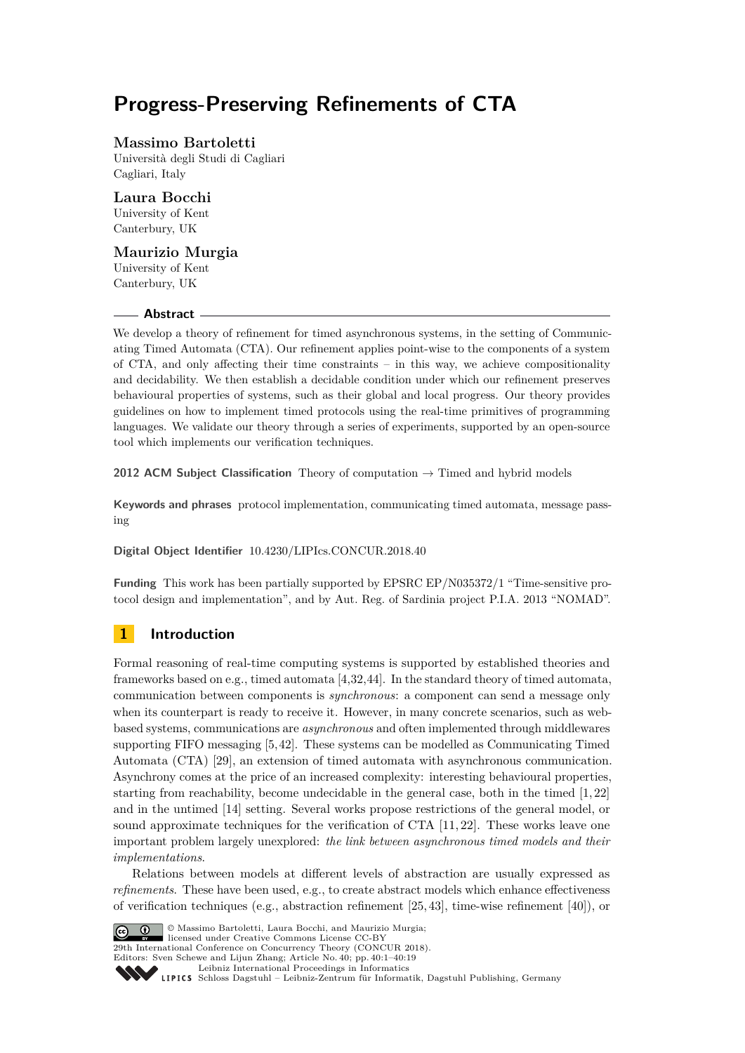# **Progress-Preserving Refinements of CTA**

# **Massimo Bartoletti**

Università degli Studi di Cagliari Cagliari, Italy

# **Laura Bocchi**

University of Kent Canterbury, UK

### **Maurizio Murgia**

University of Kent Canterbury, UK

#### **Abstract**

We develop a theory of refinement for timed asynchronous systems, in the setting of Communicating Timed Automata (CTA). Our refinement applies point-wise to the components of a system of CTA, and only affecting their time constraints – in this way, we achieve compositionality and decidability. We then establish a decidable condition under which our refinement preserves behavioural properties of systems, such as their global and local progress. Our theory provides guidelines on how to implement timed protocols using the real-time primitives of programming languages. We validate our theory through a series of experiments, supported by an open-source tool which implements our verification techniques.

**2012 ACM Subject Classification** Theory of computation  $\rightarrow$  Timed and hybrid models

**Keywords and phrases** protocol implementation, communicating timed automata, message passing

**Digital Object Identifier** [10.4230/LIPIcs.CONCUR.2018.40](http://dx.doi.org/10.4230/LIPIcs.CONCUR.2018.40)

**Funding** This work has been partially supported by EPSRC EP/N035372/1 "Time-sensitive protocol design and implementation", and by Aut. Reg. of Sardinia project P.I.A. 2013 "NOMAD".

# **1 Introduction**

Formal reasoning of real-time computing systems is supported by established theories and frameworks based on e.g., timed automata [\[4](#page-16-0)[,32](#page-18-0)[,44\]](#page-18-1). In the standard theory of timed automata, communication between components is *synchronous*: a component can send a message only when its counterpart is ready to receive it. However, in many concrete scenarios, such as webbased systems, communications are *asynchronous* and often implemented through middlewares supporting FIFO messaging [\[5,](#page-16-1)[42\]](#page-18-2). These systems can be modelled as Communicating Timed Automata (CTA) [\[29\]](#page-18-3), an extension of timed automata with asynchronous communication. Asynchrony comes at the price of an increased complexity: interesting behavioural properties, starting from reachability, become undecidable in the general case, both in the timed [\[1,](#page-16-2) [22\]](#page-17-0) and in the untimed [\[14\]](#page-17-1) setting. Several works propose restrictions of the general model, or sound approximate techniques for the verification of CTA [\[11,](#page-17-2) [22\]](#page-17-0). These works leave one important problem largely unexplored: *the link between asynchronous timed models and their implementations*.

Relations between models at different levels of abstraction are usually expressed as *refinements*. These have been used, e.g., to create abstract models which enhance effectiveness of verification techniques (e.g., abstraction refinement [\[25,](#page-17-3) [43\]](#page-18-4), time-wise refinement [\[40\]](#page-18-5)), or



© Massimo Bartoletti, Laura Bocchi, and Maurizio Murgia;

**29th International Conference on Concurrency Theory (CONCUR 2018).** 

Editors: Sven Schewe and Lijun Zhang; Article No. 40; pp. 40:1–40[:19](#page-18-6)

[Leibniz International Proceedings in Informatics](http://www.dagstuhl.de/lipics/)

[Schloss Dagstuhl – Leibniz-Zentrum für Informatik, Dagstuhl Publishing, Germany](http://www.dagstuhl.de)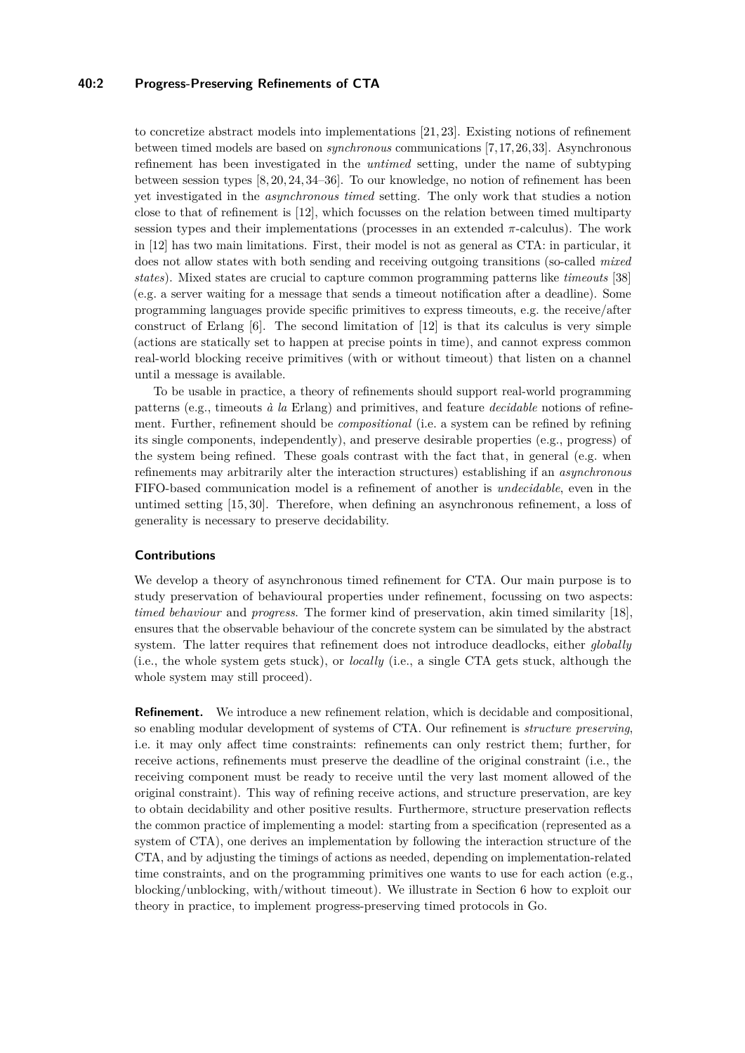### **40:2 Progress-Preserving Refinements of CTA**

to concretize abstract models into implementations [\[21,](#page-17-4) [23\]](#page-17-5). Existing notions of refinement between timed models are based on *synchronous* communications [\[7,](#page-16-3)[17,](#page-17-6)[26,](#page-17-7)[33\]](#page-18-7). Asynchronous refinement has been investigated in the *untimed* setting, under the name of subtyping between session types [\[8,](#page-16-4) [20,](#page-17-8) [24,](#page-17-9) [34](#page-18-8)[–36\]](#page-18-9). To our knowledge, no notion of refinement has been yet investigated in the *asynchronous timed* setting. The only work that studies a notion close to that of refinement is [\[12\]](#page-17-10), which focusses on the relation between timed multiparty session types and their implementations (processes in an extended  $\pi$ -calculus). The work in [\[12\]](#page-17-10) has two main limitations. First, their model is not as general as CTA: in particular, it does not allow states with both sending and receiving outgoing transitions (so-called *mixed states*). Mixed states are crucial to capture common programming patterns like *timeouts* [\[38\]](#page-18-10) (e.g. a server waiting for a message that sends a timeout notification after a deadline). Some programming languages provide specific primitives to express timeouts, e.g. the receive/after construct of Erlang [\[6\]](#page-16-5). The second limitation of [\[12\]](#page-17-10) is that its calculus is very simple (actions are statically set to happen at precise points in time), and cannot express common real-world blocking receive primitives (with or without timeout) that listen on a channel until a message is available.

To be usable in practice, a theory of refinements should support real-world programming patterns (e.g., timeouts *à la* Erlang) and primitives, and feature *decidable* notions of refinement. Further, refinement should be *compositional* (i.e. a system can be refined by refining its single components, independently), and preserve desirable properties (e.g., progress) of the system being refined. These goals contrast with the fact that, in general (e.g. when refinements may arbitrarily alter the interaction structures) establishing if an *asynchronous* FIFO-based communication model is a refinement of another is *undecidable*, even in the untimed setting [\[15,](#page-17-11) [30\]](#page-18-11). Therefore, when defining an asynchronous refinement, a loss of generality is necessary to preserve decidability.

### **Contributions**

We develop a theory of asynchronous timed refinement for CTA. Our main purpose is to study preservation of behavioural properties under refinement, focussing on two aspects: *timed behaviour* and *progress*. The former kind of preservation, akin timed similarity [\[18\]](#page-17-12), ensures that the observable behaviour of the concrete system can be simulated by the abstract system. The latter requires that refinement does not introduce deadlocks, either *globally* (i.e., the whole system gets stuck), or *locally* (i.e., a single CTA gets stuck, although the whole system may still proceed).

**Refinement.** We introduce a new refinement relation, which is decidable and compositional, so enabling modular development of systems of CTA. Our refinement is *structure preserving*, i.e. it may only affect time constraints: refinements can only restrict them; further, for receive actions, refinements must preserve the deadline of the original constraint (i.e., the receiving component must be ready to receive until the very last moment allowed of the original constraint). This way of refining receive actions, and structure preservation, are key to obtain decidability and other positive results. Furthermore, structure preservation reflects the common practice of implementing a model: starting from a specification (represented as a system of CTA), one derives an implementation by following the interaction structure of the CTA, and by adjusting the timings of actions as needed, depending on implementation-related time constraints, and on the programming primitives one wants to use for each action (e.g., blocking/unblocking, with/without timeout). We illustrate in Section [6](#page-13-0) how to exploit our theory in practice, to implement progress-preserving timed protocols in Go.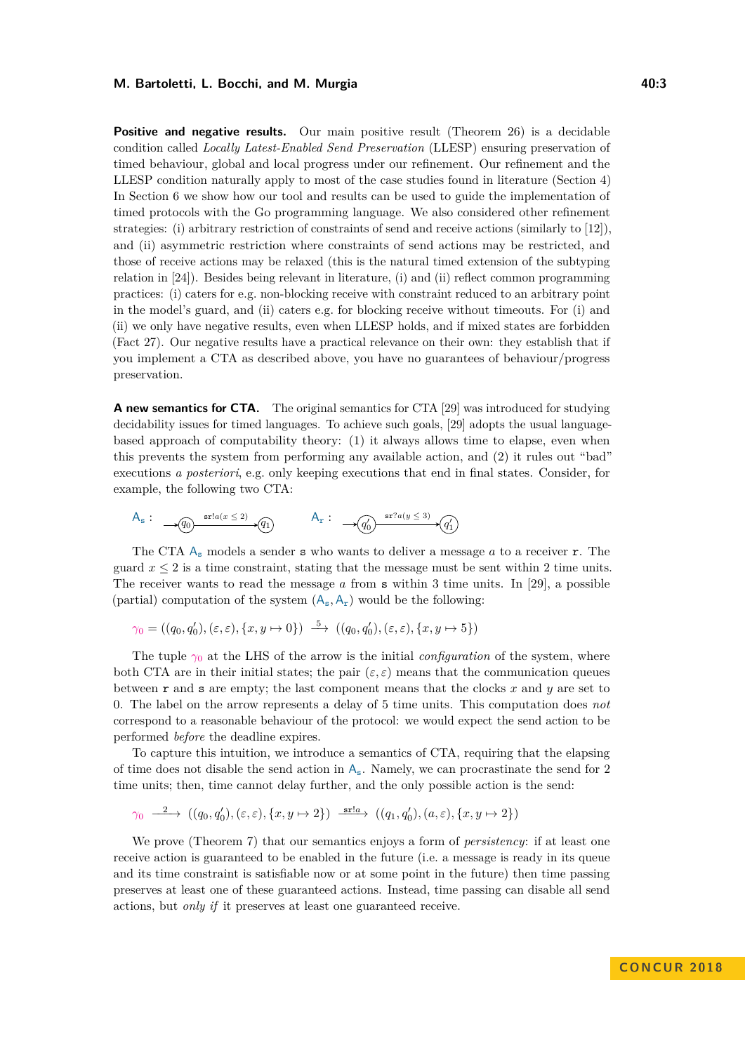#### **M. Bartoletti, L. Bocchi, and M. Murgia 20.3 10.3 40:3**

**Positive and negative results.** Our main positive result (Theorem [26\)](#page-11-0) is a decidable condition called *Locally Latest-Enabled Send Preservation* (LLESP) ensuring preservation of timed behaviour, global and local progress under our refinement. Our refinement and the LLESP condition naturally apply to most of the case studies found in literature (Section [4\)](#page-10-0) In Section [6](#page-13-0) we show how our tool and results can be used to guide the implementation of timed protocols with the Go programming language. We also considered other refinement strategies: (i) arbitrary restriction of constraints of send and receive actions (similarly to [\[12\]](#page-17-10)), and (ii) asymmetric restriction where constraints of send actions may be restricted, and those of receive actions may be relaxed (this is the natural timed extension of the subtyping relation in [\[24\]](#page-17-9)). Besides being relevant in literature, (i) and (ii) reflect common programming practices: (i) caters for e.g. non-blocking receive with constraint reduced to an arbitrary point in the model's guard, and (ii) caters e.g. for blocking receive without timeouts. For (i) and (ii) we only have negative results, even when LLESP holds, and if mixed states are forbidden (Fact [27\)](#page-11-1). Our negative results have a practical relevance on their own: they establish that if you implement a CTA as described above, you have no guarantees of behaviour/progress preservation.

**A new semantics for CTA.** The original semantics for CTA [\[29\]](#page-18-3) was introduced for studying decidability issues for timed languages. To achieve such goals, [\[29\]](#page-18-3) adopts the usual languagebased approach of computability theory: (1) it always allows time to elapse, even when this prevents the system from performing any available action, and (2) it rules out "bad" executions *a posteriori*, e.g. only keeping executions that end in final states. Consider, for example, the following two CTA:

$$
\mathsf{A}_{\mathsf{s}}:\quad \mathcal{A}_{\mathsf{g}}\longrightarrow \textnormal{grad}(x\leq 2)\quad \mathsf{A}_{\mathsf{r}}:\quad \mathcal{A}_{\mathsf{r}}:\quad \mathcal{A}_{\mathsf{g}}\longrightarrow \textnormal{grad}(y\leq 3)\quad \mathsf{g}_{\mathsf{f}}\longrightarrow \textnormal{grad}(y\leq 3)\quad \mathsf{g}_{\mathsf{f}}\longrightarrow \textnormal{grad}(y\leq 3)\quad \mathsf{g}_{\mathsf{f}}\longrightarrow \textnormal{grad}(y\leq 3)\quad \mathsf{g}_{\mathsf{f}}\longrightarrow \textnormal{grad}(y\leq 3)\quad \mathsf{d}_{\mathsf{f}}\longrightarrow \textnormal{grad}(y\leq 3)\quad \mathsf{d}_{\mathsf{f}}\longrightarrow \textnormal{grad}(y\leq 3)\quad \mathsf{grad}(y\leq 3)\quad \mathsf{grad}(y\leq 3)\quad \mathsf{grad}(y\leq 3)\quad \mathsf{grad}(y\leq 3)\quad \mathsf{grad}(y\leq 3)\quad \mathsf{grad}(y\leq 3)\quad \mathsf{grad}(y\leq 3)\quad \mathsf{grad}(y\leq 3)\quad \mathsf{grad}(y\leq 3)\quad \mathsf{grad}(y\leq 3)\quad \mathsf{grad}(y\leq 3)\quad \mathsf{grad}(y\leq 3)\quad \mathsf{grad}(y\leq 3)\quad \mathsf{grad}(y\leq 3)\quad \mathsf{grad}(y\leq 3)\quad \mathsf{grad}(y\leq 3)\quad \mathsf{grad}(y\leq 3)\quad \mathsf{grad}(y\leq 3)\quad \mathsf{grad}(y\leq 3)\quad \mathsf{grad}(y\leq 3)\quad \mathsf{grad}(y\leq 3)\quad \mathsf{grad}(y\leq 3)\quad \mathsf{grad}(y\leq 3)\quad \mathsf{grad}(y\leq 3)\quad \mathsf{grad}(y\leq 3)\quad \mathsf{grad}(y\leq 3)\quad \mathsf{grad}(y\leq 3)\quad \mathsf{grad}(y\leq 3)\quad \mathsf{grad}(y\leq 3)\quad \mathsf{grad}(y\leq 3)\quad \mathsf{grad}(y\leq 3)\quad \mathsf{grad}(y\leq 3)\quad \mathsf{grad}(y\leq 3)\quad \mathsf{grad}(y\leq 3)\quad \mathsf{grad}(y\leq 3)\quad \mathsf{grad
$$

The CTA  $A_s$  models a sender **s** who wants to deliver a message *a* to a receiver **r**. The guard  $x \leq 2$  is a time constraint, stating that the message must be sent within 2 time units. The receiver wants to read the message *a* from s within 3 time units. In [\[29\]](#page-18-3), a possible (partial) computation of the system  $(A_s, A_r)$  would be the following:

$$
\gamma_0 = ((q_0, q'_0), (\varepsilon, \varepsilon), \{x, y \mapsto 0\}) \stackrel{5}{\longrightarrow} ((q_0, q'_0), (\varepsilon, \varepsilon), \{x, y \mapsto 5\})
$$

The tuple  $\gamma_0$  at the LHS of the arrow is the initial *configuration* of the system, where both CTA are in their initial states; the pair  $(\varepsilon, \varepsilon)$  means that the communication queues between r and s are empty; the last component means that the clocks *x* and *y* are set to 0. The label on the arrow represents a delay of 5 time units. This computation does *not* correspond to a reasonable behaviour of the protocol: we would expect the send action to be performed *before* the deadline expires.

To capture this intuition, we introduce a semantics of CTA, requiring that the elapsing of time does not disable the send action in  $A_s$ . Namely, we can procrastinate the send for 2 time units; then, time cannot delay further, and the only possible action is the send:

$$
\gamma_0 \xrightarrow{\quad 2 \quad} ((q_0, q'_0), (\varepsilon, \varepsilon), \{x, y \mapsto 2\}) \xrightarrow{\text{sr}: a} ((q_1, q'_0), (a, \varepsilon), \{x, y \mapsto 2\})
$$

We prove (Theorem [7\)](#page-7-0) that our semantics enjoys a form of *persistency*: if at least one receive action is guaranteed to be enabled in the future (i.e. a message is ready in its queue and its time constraint is satisfiable now or at some point in the future) then time passing preserves at least one of these guaranteed actions. Instead, time passing can disable all send actions, but *only if* it preserves at least one guaranteed receive.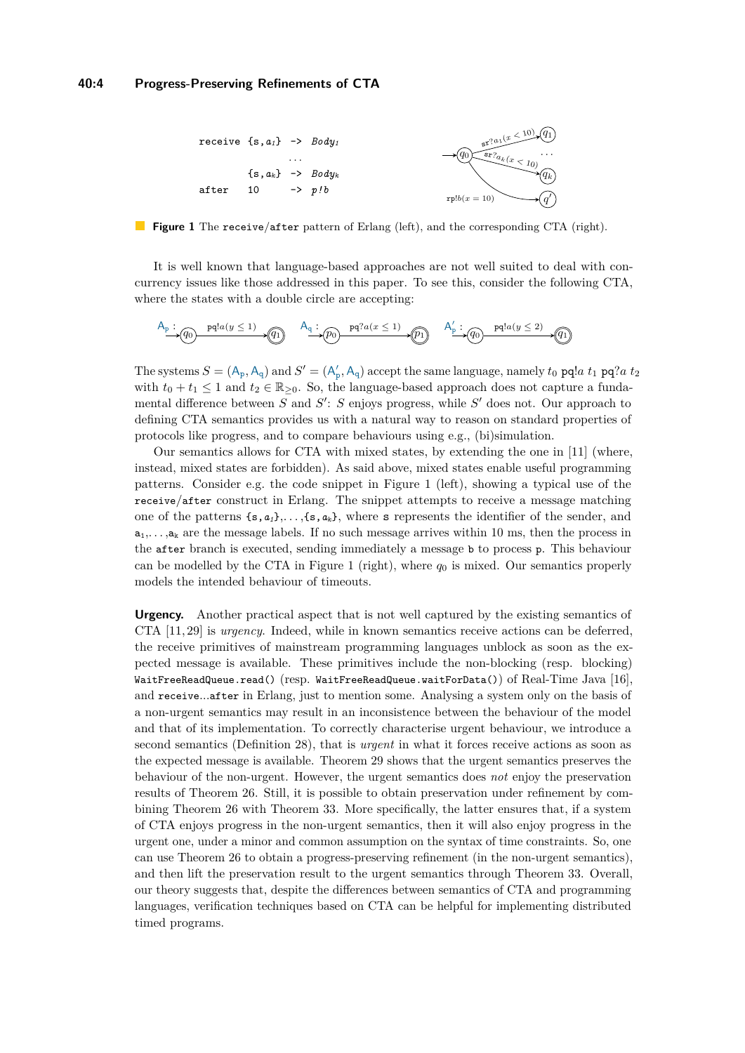<span id="page-3-0"></span>

**Figure 1** The receive/after pattern of Erlang (left), and the corresponding CTA (right).

It is well known that language-based approaches are not well suited to deal with concurrency issues like those addressed in this paper. To see this, consider the following CTA, where the states with a double circle are accepting:

$$
\xrightarrow{A_p} (q_0) \xrightarrow{pq!a(y \leq 1)} (q_1) \xrightarrow{A_q} (p_0) \xrightarrow{pq?a(x \leq 1)} (p_1) \xrightarrow{A'_p} (q_0) \xrightarrow{pq!a(y \leq 2)} (q_1)
$$

The systems  $S = (A_p, A_q)$  and  $S' = (A'_p, A_q)$  accept the same language, namely  $t_0$  pq!*a*  $t_1$  pq?*a*  $t_2$ with  $t_0 + t_1 \leq 1$  and  $t_2 \in \mathbb{R}_{>0}$ . So, the language-based approach does not capture a fundamental difference between *S* and *S*<sup>'</sup>: *S* enjoys progress, while *S*<sup>'</sup> does not. Our approach to defining CTA semantics provides us with a natural way to reason on standard properties of protocols like progress, and to compare behaviours using e.g., (bi)simulation.

Our semantics allows for CTA with mixed states, by extending the one in [\[11\]](#page-17-2) (where, instead, mixed states are forbidden). As said above, mixed states enable useful programming patterns. Consider e.g. the code snippet in Figure [1](#page-3-0) (left), showing a typical use of the receive/after construct in Erlang. The snippet attempts to receive a message matching one of the patterns  $\{s, a_i\}, \ldots, \{s, a_k\}$ , where s represents the identifier of the sender, and  $a_1, \ldots, a_k$  are the message labels. If no such message arrives within 10 ms, then the process in the after branch is executed, sending immediately a message b to process p. This behaviour can be modelled by the CTA in Figure [1](#page-3-0) (right), where  $q_0$  is mixed. Our semantics properly models the intended behaviour of timeouts.

**Urgency.** Another practical aspect that is not well captured by the existing semantics of CTA [\[11,](#page-17-2) [29\]](#page-18-3) is *urgency*. Indeed, while in known semantics receive actions can be deferred, the receive primitives of mainstream programming languages unblock as soon as the expected message is available. These primitives include the non-blocking (resp. blocking) WaitFreeReadQueue.read() (resp. WaitFreeReadQueue.waitForData()) of Real-Time Java [\[16\]](#page-17-13), and receive...after in Erlang, just to mention some. Analysing a system only on the basis of a non-urgent semantics may result in an inconsistence between the behaviour of the model and that of its implementation. To correctly characterise urgent behaviour, we introduce a second semantics (Definition [28\)](#page-12-0), that is *urgent* in what it forces receive actions as soon as the expected message is available. Theorem [29](#page-12-1) shows that the urgent semantics preserves the behaviour of the non-urgent. However, the urgent semantics does *not* enjoy the preservation results of Theorem [26.](#page-11-0) Still, it is possible to obtain preservation under refinement by combining Theorem [26](#page-11-0) with Theorem [33.](#page-13-1) More specifically, the latter ensures that, if a system of CTA enjoys progress in the non-urgent semantics, then it will also enjoy progress in the urgent one, under a minor and common assumption on the syntax of time constraints. So, one can use Theorem [26](#page-11-0) to obtain a progress-preserving refinement (in the non-urgent semantics), and then lift the preservation result to the urgent semantics through Theorem [33.](#page-13-1) Overall, our theory suggests that, despite the differences between semantics of CTA and programming languages, verification techniques based on CTA can be helpful for implementing distributed timed programs.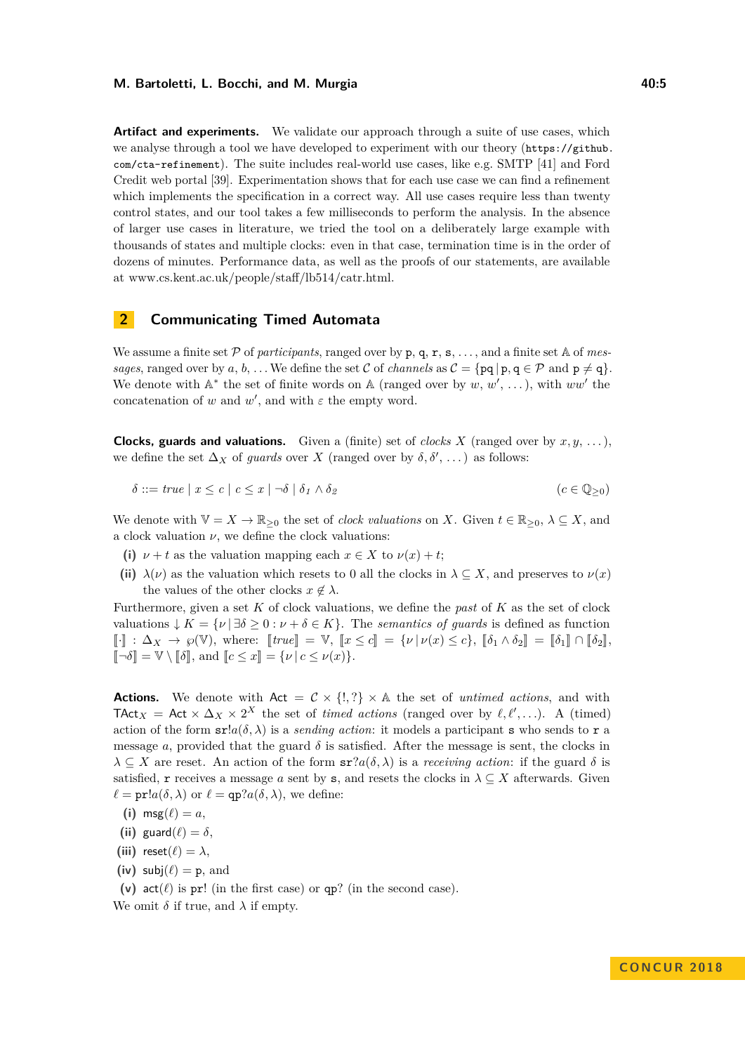**Artifact and experiments.** We validate our approach through a suite of use cases, which we analyse through a tool we have developed to experiment with our theory ([https://github.](https://github.com/cta-refinement) [com/cta-refinement](https://github.com/cta-refinement)). The suite includes real-world use cases, like e.g. SMTP [\[41\]](#page-18-12) and Ford Credit web portal [\[39\]](#page-18-13). Experimentation shows that for each use case we can find a refinement which implements the specification in a correct way. All use cases require less than twenty control states, and our tool takes a few milliseconds to perform the analysis. In the absence of larger use cases in literature, we tried the tool on a deliberately large example with thousands of states and multiple clocks: even in that case, termination time is in the order of dozens of minutes. Performance data, as well as the proofs of our statements, are available at [www.cs.kent.ac.uk/people/staff/lb514/catr.html.](https://www.cs.kent.ac.uk/people/staff/lb514/catr.html)

### **2 Communicating Timed Automata**

We assume a finite set  $P$  of *participants*, ranged over by  $p, q, r, s, \ldots$ , and a finite set A of *messages*, ranged over by *a*, *b*, ... We define the set C of *channels* as  $C = \{pq | p, q \in P \text{ and } p \neq q\}.$ We denote with  $\mathbb{A}^*$  the set of finite words on  $\mathbb{A}$  (ranged over by  $w, w', \ldots$ ), with  $ww'$  the concatenation of *w* and  $w'$ , and with  $\varepsilon$  the empty word.

**Clocks, guards and valuations.** Given a (finite) set of *clocks X* (ranged over by  $x, y, \ldots$ ), we define the set  $\Delta_X$  of *guards* over *X* (ranged over by  $\delta, \delta', \dots$ ) as follows:

$$
\delta ::= true \mid x \le c \mid c \le x \mid \neg \delta \mid \delta_1 \wedge \delta_2 \tag{c \in \mathbb{Q}_{\ge 0}}
$$

We denote with  $\mathbb{V} = X \to \mathbb{R}_{\geq 0}$  the set of *clock valuations* on *X*. Given  $t \in \mathbb{R}_{\geq 0}$ ,  $\lambda \subseteq X$ , and a clock valuation  $\nu$ , we define the clock valuations:

- (i)  $\nu + t$  as the valuation mapping each  $x \in X$  to  $\nu(x) + t$ ;
- (ii)  $\lambda(\nu)$  as the valuation which resets to 0 all the clocks in  $\lambda \subseteq X$ , and preserves to  $\nu(x)$ the values of the other clocks  $x \notin \lambda$ .

Furthermore, given a set *K* of clock valuations, we define the *past* of *K* as the set of clock valuations  $\downarrow K = \{ \nu \mid \exists \delta \geq 0 : \nu + \delta \in K \}.$  The *semantics of quards* is defined as function  $\llbracket \cdot \rrbracket : \Delta_X \to \wp(\mathbb{V})$ , where:  $\llbracket true \rrbracket = \mathbb{V}$ ,  $\llbracket x \leq c \rrbracket = \{ \nu \mid \nu(x) \leq c \}, \llbracket \delta_1 \wedge \delta_2 \rrbracket = \llbracket \delta_1 \rrbracket \cap \llbracket \delta_2 \rrbracket$ ,  $\llbracket \neg \delta \rrbracket = \mathbb{V} \setminus \llbracket \delta \rrbracket$ , and  $\llbracket c \leq x \rrbracket = \{ \nu \mid c \leq \nu(x) \}.$ 

**Actions.** We denote with  $Act = C \times \{!, ?\} \times A$  the set of *untimed actions*, and with TAct<sub>*X*</sub> = Act  $\times \Delta_X \times 2^X$  the set of *timed actions* (ranged over by  $\ell, \ell',...$ ). A (timed) action of the form  $\text{sr}la(\delta, \lambda)$  is a *sending action*: it models a participant s who sends to r a message *a*, provided that the guard  $\delta$  is satisfied. After the message is sent, the clocks in  $\lambda \subseteq X$  are reset. An action of the form  $\text{sr}?a(\delta,\lambda)$  is a *receiving action*: if the guard  $\delta$  is satisfied, r receives a message a sent by s, and resets the clocks in  $\lambda \subseteq X$  afterwards. Given  $\ell = \text{pr}!a(\delta, \lambda)$  or  $\ell = \text{qp}?a(\delta, \lambda)$ , we define:

- (i) msg $(\ell) = a$ ,
- **(ii)** guard $(\ell) = \delta$ ,
- **(iii)** reset $(\ell) = \lambda$ ,
- (iv)  $\text{subi}(\ell) = \text{p}$ , and

(v)  $act(\ell)$  is pr! (in the first case) or qp? (in the second case).

We omit  $\delta$  if true, and  $\lambda$  if empty.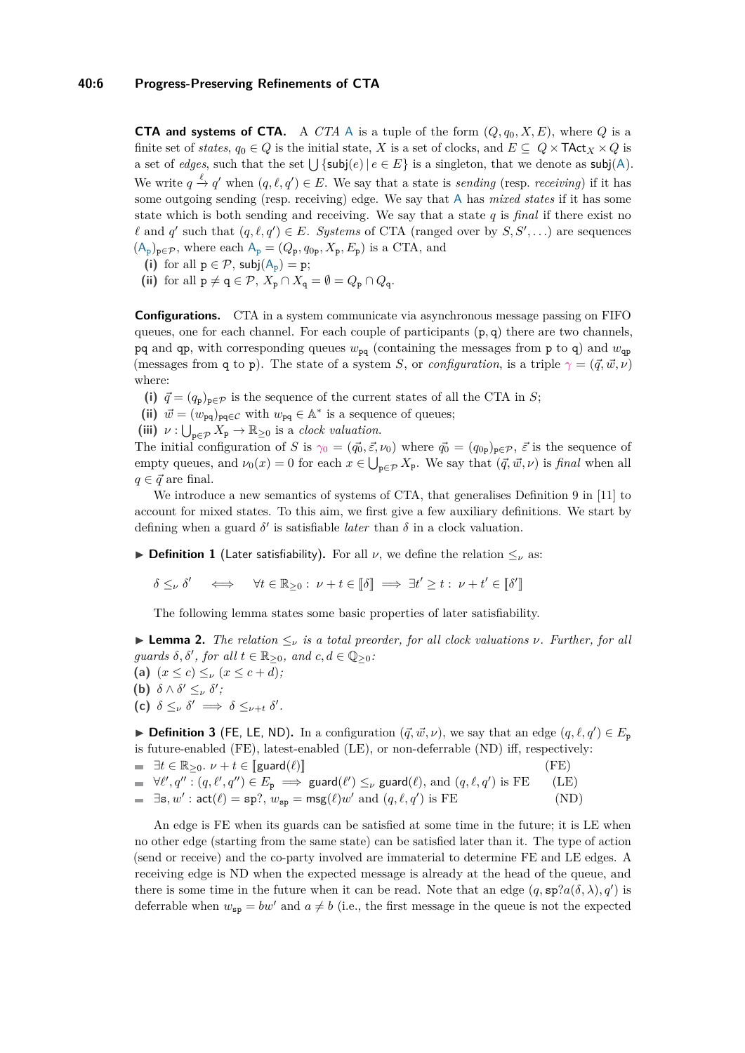#### **40:6 Progress-Preserving Refinements of CTA**

**CTA and systems of CTA.** A *CTA* A is a tuple of the form  $(Q, q_0, X, E)$ , where *Q* is a finite set of *states*,  $q_0 \in Q$  is the initial state, *X* is a set of clocks, and  $E \subseteq Q \times \text{TAct}_X \times Q$  is a set of *edges*, such that the set  $\bigcup$  {subj(*e*) |  $e \in E$ } is a singleton, that we denote as subj(A). We write  $q \stackrel{\ell}{\to} q'$  when  $(q, \ell, q') \in E$ . We say that a state is *sending* (resp. *receiving*) if it has some outgoing sending (resp. receiving) edge. We say that A has *mixed states* if it has some state which is both sending and receiving. We say that a state *q* is *final* if there exist no  $\ell$  and  $q'$  such that  $(q, \ell, q') \in E$ . *Systems* of CTA (ranged over by  $S, S', \ldots$ ) are sequences  $(A_p)_{p \in \mathcal{P}}$ , where each  $A_p = (Q_p, q_{0p}, X_p, E_p)$  is a CTA, and

- (i) for all  $p \in \mathcal{P}$ ,  $\mathsf{subj}(A_p) = p$ ;
- (ii) for all  $p \neq q \in \mathcal{P}, X_p \cap X_q = \emptyset = Q_p \cap Q_q$ .

**Configurations.** CTA in a system communicate via asynchronous message passing on FIFO queues, one for each channel. For each couple of participants (p*,* q) there are two channels, pq and qp, with corresponding queues  $w_{pq}$  (containing the messages from p to q) and  $w_{qp}$ (messages from q to p). The state of a system *S*, or *configuration*, is a triple  $\gamma = (\vec{q}, \vec{w}, \nu)$ where:

- (i)  $\vec{q} = (q_p)_{p \in \mathcal{P}}$  is the sequence of the current states of all the CTA in *S*;
- (ii)  $\vec{w} = (w_{pq})_{pq \in C}$  with  $w_{pq} \in A^*$  is a sequence of queues;
- (iii)  $\nu: \bigcup_{p \in \mathcal{P}} X_p \to \mathbb{R}_{\geq 0}$  is a *clock valuation*.

The initial configuration of *S* is  $\gamma_0 = (\vec{q}_0, \vec{\varepsilon}, \nu_0)$  where  $\vec{q}_0 = (q_{0p})_{p \in \mathcal{P}}, \vec{\varepsilon}$  is the sequence of empty queues, and  $\nu_0(x) = 0$  for each  $x \in \bigcup_{p \in \mathcal{P}} X_p$ . We say that  $(\vec{q}, \vec{w}, \nu)$  is *final* when all  $q \in \vec{q}$  are final.

We introduce a new semantics of systems of CTA, that generalises Definition 9 in [\[11\]](#page-17-2) to account for mixed states. To this aim, we first give a few auxiliary definitions. We start by defining when a guard  $\delta'$  is satisfiable *later* than  $\delta$  in a clock valuation.

**► Definition 1** (Later satisfiability). For all  $\nu$ , we define the relation  $\lt_{\nu}$  as:

 $\delta \leq_{\nu} \delta' \iff \forall t \in \mathbb{R}_{\geq 0}: \nu + t \in [\![\delta]\!] \implies \exists t' \geq t: \nu + t' \in [\![\delta']\!]$ l<br>I

The following lemma states some basic properties of later satisfiability.

**Lemma 2.** The relation  $\leq_{\nu}$  is a total preorder, for all clock valuations  $\nu$ . Further, for all  $\text{quards } \delta, \delta', \text{ for all } t \in \mathbb{R}_{\geq 0}, \text{ and } c, d \in \mathbb{Q}_{\geq 0}$ .

- (a)  $(x \le c) \le \nu (x \le c + d);$
- **(b)**  $\delta \wedge \delta' \leq_{\nu} \delta'$ ;
- **(c)**  $\delta \leq_{\nu} \delta' \implies \delta \leq_{\nu+t} \delta'.$

**Definition 3** (FE, LE, ND). In a configuration  $(\vec{q}, \vec{w}, \nu)$ , we say that an edge  $(q, \ell, q') \in E_p$ is future-enabled (FE), latest-enabled (LE), or non-deferrable (ND) iff, respectively:

 $\exists t \in \mathbb{R}_{\geq 0}. \ \nu + t \in [\text{guard}(\ell)]$  (FE)<br>  $\forall \ell', q'' : (q, \ell', q'') \in E_p \implies \text{guard}(\ell') \leq_{\nu} \text{guard}(\ell), \text{ and } (q, \ell, q') \text{ is FE}$  (LE)  $\exists$ **s**, *w'*:  $act(\ell) =$ **sp**?,  $w_{\text{sp}} = \text{msg}(\ell)w'$  and  $(q, \ell, q')$  is FE (ND)

An edge is FE when its guards can be satisfied at some time in the future; it is LE when no other edge (starting from the same state) can be satisfied later than it. The type of action (send or receive) and the co-party involved are immaterial to determine FE and LE edges. A receiving edge is ND when the expected message is already at the head of the queue, and there is some time in the future when it can be read. Note that an edge  $(q, \text{sp}:a(\delta, \lambda), q')$  is deferrable when  $w_{\rm{sp}} = bw'$  and  $a \neq b$  (i.e., the first message in the queue is not the expected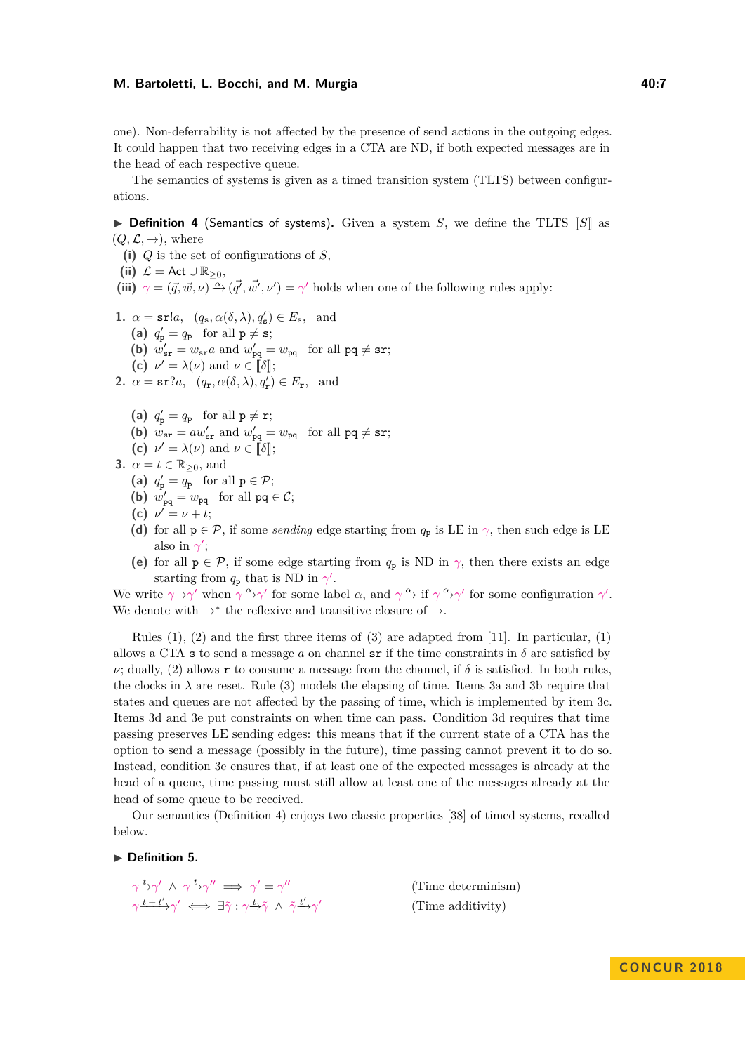one). Non-deferrability is not affected by the presence of send actions in the outgoing edges. It could happen that two receiving edges in a CTA are ND, if both expected messages are in the head of each respective queue.

The semantics of systems is given as a timed transition system (TLTS) between configurations.

<span id="page-6-8"></span> $\triangleright$  **Definition 4** (Semantics of systems). Given a system *S*, we define the TLTS  $\llbracket S \rrbracket$  as  $(Q, \mathcal{L}, \rightarrow)$ , where

**(i)** *Q* is the set of configurations of *S*,

(ii)  $\mathcal{L} = \mathsf{Act} \cup \mathbb{R}_{\geq 0}$ ,

(iii)  $\gamma = (\vec{q}, \vec{w}, \nu) \stackrel{\alpha}{\rightarrow} (\vec{q'}, \vec{w'}, \nu') = \gamma'$  holds when one of the following rules apply:

- <span id="page-6-0"></span>**1.**  $\alpha = \text{sr}!a, \quad (q_{\text{s}}, \alpha(\delta, \lambda), q_{\text{s}}') \in E_{\text{s}}, \text{ and}$ 
	- (a)  $q'_{\mathbf{p}} = q_{\mathbf{p}}$  for all  $\mathbf{p} \neq \mathbf{s}$ ;
	- (b)  $w'_{sr} = w_{sr}a$  and  $w'_{pq} = w_{pq}$  for all  $pq \neq sr$ ;
	- **(c)**  $\nu' = \lambda(\nu)$  and  $\nu \in [\![\delta]\!]$ ;
- <span id="page-6-1"></span>**2.**  $\alpha = \textbf{sr}$ ?*a*,  $(q_{\textbf{r}}, \alpha(\delta, \lambda), q_{\textbf{r}}') \in E_{\textbf{r}}$ , and
	- (a)  $q'_{\mathbf{p}} = q_{\mathbf{p}}$  for all  $\mathbf{p} \neq \mathbf{r}$ ;
	- **(b)**  $w_{sr} = aw'_{sr}$  and  $w'_{pq} = w_{pq}$  for all  $pq \neq sr$ ;
	- **(c)**  $\nu' = \lambda(\nu)$  and  $\nu \in [\![\delta]\!]$ ;
- <span id="page-6-6"></span><span id="page-6-5"></span><span id="page-6-4"></span><span id="page-6-3"></span><span id="page-6-2"></span>**3.**  $\alpha = t \in \mathbb{R}_{\geq 0}$ , and
	- (a)  $q'_{\mathbf{p}} = q_{\mathbf{p}}$  for all  $\mathbf{p} \in \mathcal{P}$ ;
	- **(b)**  $w'_{pq} = w_{pq}$  for all  $pq \in C$ ;
	- **(c)**  $\nu' = \nu + t;$
	- **(d)** for all  $p \in \mathcal{P}$ , if some *sending* edge starting from  $q_p$  is LE in  $\gamma$ , then such edge is LE also in  $\gamma'$ ;
	- **(e)** for all  $p \in \mathcal{P}$ , if some edge starting from  $q_p$  is ND in  $\gamma$ , then there exists an edge starting from  $q_p$  that is ND in  $\gamma'$ .

<span id="page-6-7"></span>We write  $\gamma \rightarrow \gamma'$  when  $\gamma \rightarrow \gamma'$  for some label  $\alpha$ , and  $\gamma \rightarrow \gamma'$  for some configuration  $\gamma'$ . We denote with  $\rightarrow^*$  the reflexive and transitive closure of  $\rightarrow$ .

Rules  $(1)$ ,  $(2)$  and the first three items of  $(3)$  are adapted from [\[11\]](#page-17-2). In particular,  $(1)$ allows a CTA s to send a message *a* on channel sr if the time constraints in  $\delta$  are satisfied by *ν*; dually, [\(2\)](#page-6-1) allows **r** to consume a message from the channel, if  $\delta$  is satisfied. In both rules, the clocks in  $\lambda$  are reset. Rule [\(3\)](#page-6-2) models the elapsing of time. Items [3a](#page-6-3) and [3b](#page-6-4) require that states and queues are not affected by the passing of time, which is implemented by item [3c.](#page-6-5) Items [3d](#page-6-6) and [3e](#page-6-7) put constraints on when time can pass. Condition [3d](#page-6-6) requires that time passing preserves LE sending edges: this means that if the current state of a CTA has the option to send a message (possibly in the future), time passing cannot prevent it to do so. Instead, condition [3e](#page-6-7) ensures that, if at least one of the expected messages is already at the head of a queue, time passing must still allow at least one of the messages already at the head of some queue to be received.

Our semantics (Definition [4\)](#page-6-8) enjoys two classic properties [\[38\]](#page-18-10) of timed systems, recalled below.

 $\blacktriangleright$  Definition 5.

$$
\gamma \xrightarrow{t} \gamma' \wedge \gamma \xrightarrow{t} \gamma'' \implies \gamma' = \gamma''
$$
 (Time determining)  
\n
$$
\gamma \xrightarrow{t + t'} \gamma' \iff \exists \tilde{\gamma} : \gamma \xrightarrow{t} \tilde{\gamma} \wedge \tilde{\gamma} \xrightarrow{t'} \gamma'
$$
 (Time additivity)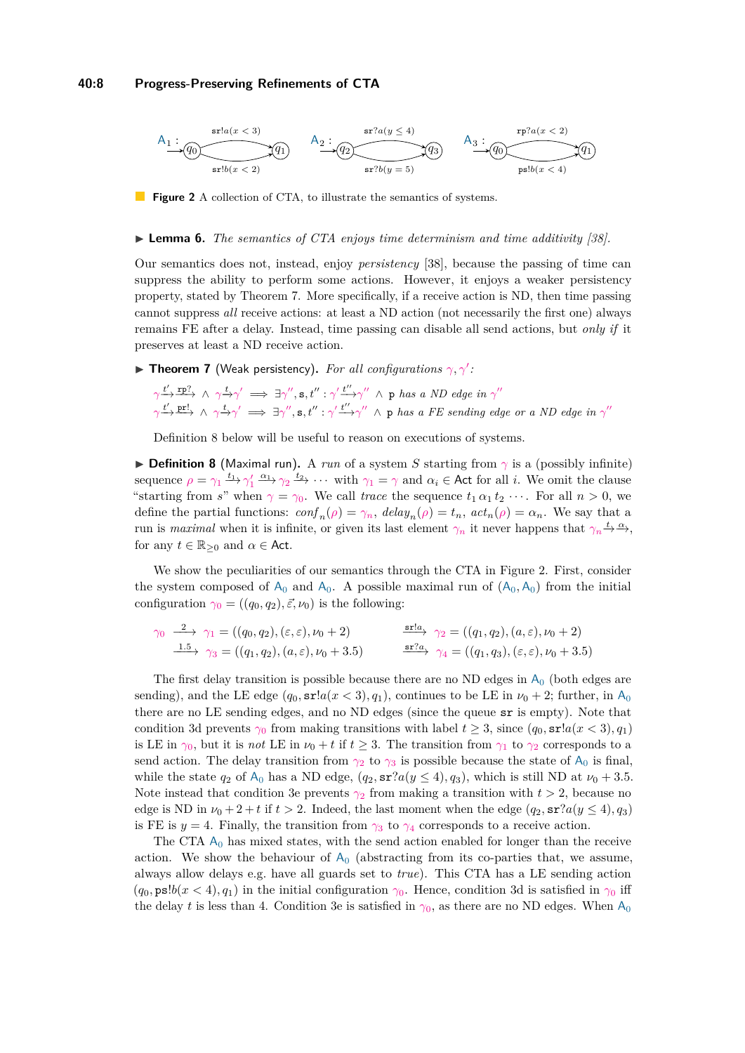#### **40:8 Progress-Preserving Refinements of CTA**

<span id="page-7-2"></span>

**Figure 2** A collection of CTA, to illustrate the semantics of systems.

#### I **Lemma 6.** *The semantics of CTA enjoys time determinism and time additivity [\[38\]](#page-18-10).*

Our semantics does not, instead, enjoy *persistency* [\[38\]](#page-18-10), because the passing of time can suppress the ability to perform some actions. However, it enjoys a weaker persistency property, stated by Theorem [7.](#page-7-0) More specifically, if a receive action is ND, then time passing cannot suppress *all* receive actions: at least a ND action (not necessarily the first one) always remains FE after a delay. Instead, time passing can disable all send actions, but *only if* it preserves at least a ND receive action.

<span id="page-7-0"></span>**Theorem 7** (Weak persistency). For all configurations  $\gamma$ ,  $\gamma'$ :

$$
\gamma \xrightarrow{t'} \xrightarrow{\text{rp?}} \wedge \gamma \xrightarrow{t} \gamma' \implies \exists \gamma'', \text{s}, t'': \gamma' \xrightarrow{t''} \gamma'' \wedge \text{p} \text{ has a ND edge in } \gamma''
$$
  

$$
\gamma \xrightarrow{t'} \xrightarrow{\text{pr!}} \wedge \gamma \xrightarrow{t} \gamma' \implies \exists \gamma'', \text{s}, t'': \gamma' \xrightarrow{t''} \gamma'' \wedge \text{p} \text{ has a FE sending edge or a ND edge in } \gamma''
$$

Definition [8](#page-7-1) below will be useful to reason on executions of systems.

<span id="page-7-1"></span>**Definition 8** (Maximal run). A *run* of a system *S* starting from  $\gamma$  is a (possibly infinite) sequence  $\rho = \gamma_1 \xrightarrow{t_1} \gamma_1' \xrightarrow{\alpha_1} \gamma_2 \xrightarrow{t_2} \cdots$  with  $\gamma_1 = \gamma$  and  $\alpha_i \in \text{Act}$  for all *i*. We omit the clause "starting from *s*" when  $\gamma = \gamma_0$ . We call *trace* the sequence  $t_1 \alpha_1 t_2 \cdots$ . For all  $n > 0$ , we define the partial functions:  $\text{conf}_n(\rho) = \gamma_n$ ,  $\text{delay}_n(\rho) = t_n$ ,  $\text{act}_n(\rho) = \alpha_n$ . We say that a run is *maximal* when it is infinite, or given its last element  $\gamma_n$  it never happens that  $\gamma_n \stackrel{t}{\rightarrow} \stackrel{\alpha}{\rightarrow}$ , for any  $t \in \mathbb{R}_{\geq 0}$  and  $\alpha \in$  Act.

We show the peculiarities of our semantics through the CTA in Figure [2.](#page-7-2) First, consider the system composed of  $A_0$  $A_0$  and  $A_0$ . A possible maximal run of  $(A_0, A_0)$  from the initial configuration  $\gamma_0 = ((q_0, q_2), \vec{\varepsilon}, \nu_0)$  is the following:

$$
\gamma_0 \xrightarrow{2} \gamma_1 = ((q_0, q_2), (\varepsilon, \varepsilon), \nu_0 + 2) \qquad \xrightarrow{\text{srla}} \gamma_2 = ((q_1, q_2), (a, \varepsilon), \nu_0 + 2) \xrightarrow{1.5} \gamma_3 = ((q_1, q_2), (a, \varepsilon), \nu_0 + 3.5) \qquad \xrightarrow{\text{srla}} \gamma_4 = ((q_1, q_3), (\varepsilon, \varepsilon), \nu_0 + 3.5)
$$

The first delay transition is possible because there are no ND edges in  $A_0$  $A_0$  (both edges are sending), and the LE edge  $(q_0, \text{sr}!a(x < 3), q_1)$ , continues to be LE in  $\nu_0 + 2$ ; further, in  $A_0$  $A_0$ there are no LE sending edges, and no ND edges (since the queue sr is empty). Note that condition [3d](#page-6-6) prevents  $\gamma_0$  from making transitions with label  $t \geq 3$ , since  $(q_0, \text{sr}: a(x < 3), q_1)$ is LE in  $\gamma_0$ , but it is *not* LE in  $\nu_0 + t$  if  $t \geq 3$ . The transition from  $\gamma_1$  to  $\gamma_2$  corresponds to a send action. The delay transition from  $\gamma_2$  to  $\gamma_3$  is possible because the state of  $A_0$  $A_0$  is final, while the state  $q_2$  of  $A_0$  $A_0$  has a ND edge,  $(q_2, \text{sr}?a(y \leq 4), q_3)$ , which is still ND at  $\nu_0 + 3.5$ . Note instead that condition [3e](#page-6-7) prevents  $\gamma_2$  from making a transition with  $t > 2$ , because no edge is ND in  $\nu_0 + 2 + t$  if  $t > 2$ . Indeed, the last moment when the edge  $(q_2, \text{sr}?a(y \leq 4), q_3)$ is FE is  $y = 4$ . Finally, the transition from  $\gamma_3$  to  $\gamma_4$  corresponds to a receive action.

The CT[A](#page-7-2)  $A_0$  has mixed states, with the send action enabled for longer than the receive action. We show the behaviour of  $A_0$  $A_0$  (abstracting from its co-parties that, we assume, always allow delays e.g. have all guards set to *true*). This CTA has a LE sending action  $(q_0, \text{ps}!b(x < 4), q_1)$  in the initial configuration  $\gamma_0$ . Hence, condition [3d](#page-6-6) is satisfied in  $\gamma_0$  iff the delay *t* is less than 4. Condition [3e](#page-6-7) is satisfied in  $\gamma_0$ , as there are no ND edges. When  $A_0$  $A_0$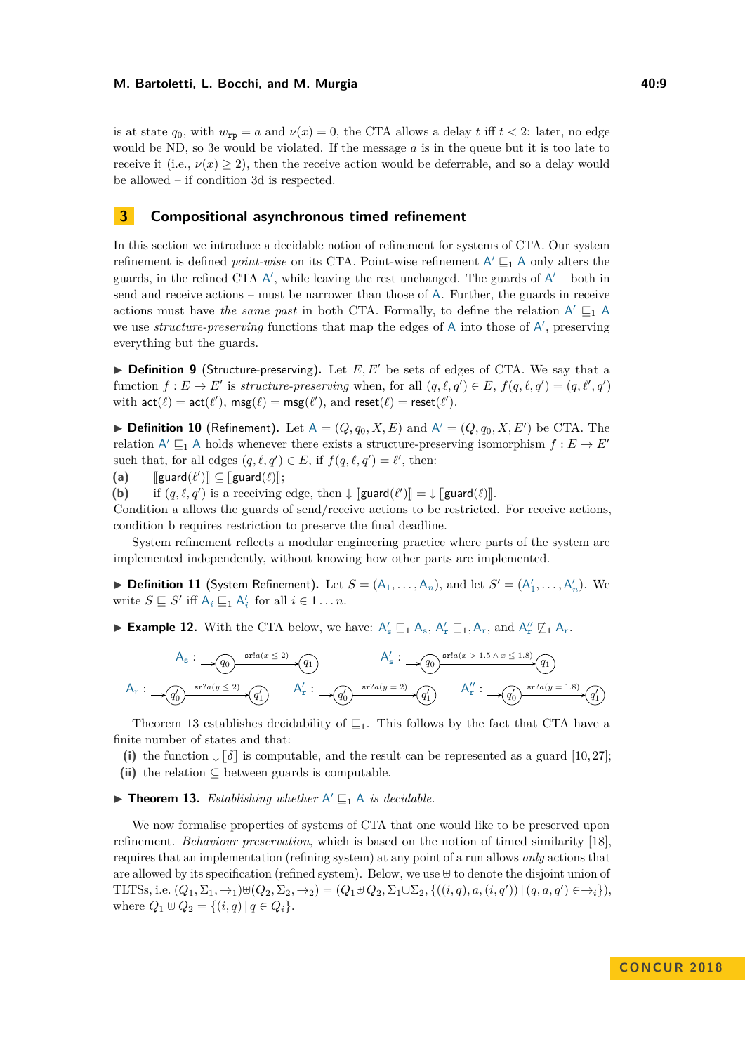is at state  $q_0$ , with  $w_{\text{rp}} = a$  and  $\nu(x) = 0$ , the CTA allows a delay *t* iff  $t < 2$ : later, no edge would be ND, so [3e](#page-6-7) would be violated. If the message *a* is in the queue but it is too late to receive it (i.e.,  $\nu(x) \geq 2$ ), then the receive action would be deferrable, and so a delay would be allowed – if condition [3d](#page-6-6) is respected.

# **3 Compositional asynchronous timed refinement**

In this section we introduce a decidable notion of refinement for systems of CTA. Our system refinement is defined *point-wise* on its CTA. Point-wise refinement  $A' \sqsubseteq_1 A$  only alters the guards, in the refined CTA  $A'$ , while leaving the rest unchanged. The guards of  $A'$  – both in send and receive actions – must be narrower than those of A. Further, the guards in receive actions must have *the same past* in both CTA. Formally, to define the relation  $A' \sqsubseteq_1 A$ we use *structure-preserving* functions that map the edges of A into those of A', preserving everything but the guards.

 $\triangleright$  **Definition 9** (Structure-preserving). Let  $E, E'$  be sets of edges of CTA. We say that a function  $f: E \to E'$  is *structure-preserving* when, for all  $(q, \ell, q') \in E$ ,  $f(q, \ell, q') = (q, \ell', q')$ with  $\textsf{act}(\ell) = \textsf{act}(\ell'), \, \textsf{msg}(\ell) = \textsf{msg}(\ell'), \, \text{and } \textsf{reset}(\ell) = \textsf{reset}(\ell').$ 

<span id="page-8-3"></span>**Definition 10** (Refinement). Let  $A = (Q, q_0, X, E)$  and  $A' = (Q, q_0, X, E')$  be CTA. The relation  $A' \sqsubseteq_1 A$  holds whenever there exists a structure-preserving isomorphism  $f : E \to E'$ such that, for all edges  $(q, \ell, q') \in E$ , if  $f(q, \ell, q') = \ell'$ , then:

<span id="page-8-0"></span>(a)  $[\text{guard}(\ell')] \subseteq [\text{guard}(\ell)]$ ;<br>(b) is experience

<span id="page-8-1"></span>**(b)** if  $(q, \ell, q')$  is a receiving edge, then  $\downarrow$  [guard $(\ell')$ ] =  $\downarrow$  [guard $(\ell)$ ].

Condition [a](#page-8-0) allows the guards of send/receive actions to be restricted. For receive actions, condition [b](#page-8-1) requires restriction to preserve the final deadline.

System refinement reflects a modular engineering practice where parts of the system are implemented independently, without knowing how other parts are implemented.

▶ **Definition 11** (System Refinement). Let  $S = (A_1, \ldots, A_n)$ , and let  $S' = (A'_1, \ldots, A'_n)$ . We write  $S \sqsubseteq S'$  iff  $A_i \sqsubseteq_1 A'_i$  for all  $i \in 1 \ldots n$ .

**Example 12.** With the CTA below, we have:  $A'_s \sqsubseteq_1 A_s$ ,  $A'_r \sqsubseteq_1 A_r$ , and  $A''_r \not\sqsubseteq_1 A_r$ .

$$
A_s: \longrightarrow \underbrace{(q_0)\xrightarrow{\operatorname{srla}(x \leq 2)}(q_1)} A'_s: \longrightarrow \underbrace{(q_0)\xrightarrow{\operatorname{srla}(x > 1.5 \land x \leq 1.8)}(q_1)} A'_r: \longrightarrow \underbrace{(q_0)\xrightarrow{\operatorname{srla}(y = 2)}(q'_1)} A''_r: \longrightarrow \underbrace{(q'_0)\xrightarrow{\operatorname{srla}(y = 1.8)}(q'_1)} A''_r: \longrightarrow \underbrace{(q'_0)\xrightarrow{\operatorname{srla}(y = 1.8)}(q'_1)} A''_r: \longrightarrow \underbrace{(q'_0)\xrightarrow{\operatorname{srla}(y = 1.8)}(q'_1)} A''_r
$$

Theorem [13](#page-8-2) establishes decidability of  $\sqsubseteq_1$ . This follows by the fact that CTA have a finite number of states and that:

(i) the function  $\downarrow$   $\lbrack \delta \rbrack$  is computable, and the result can be represented as a guard [\[10,](#page-17-14) [27\]](#page-18-14);

**(ii)** the relation ⊆ between guards is computable.

# <span id="page-8-2"></span>**Theorem 13.** *Establishing whether*  $A' \sqsubseteq_1 A$  *is decidable.*

We now formalise properties of systems of CTA that one would like to be preserved upon refinement. *Behaviour preservation*, which is based on the notion of timed similarity [\[18\]](#page-17-12), requires that an implementation (refining system) at any point of a run allows *only* actions that are allowed by its specification (refined system). Below, we use  $\oplus$  to denote the disjoint union of TLTSs, i.e.  $(Q_1, \Sigma_1, \to_1) \oplus (Q_2, \Sigma_2, \to_2) = (Q_1 \oplus Q_2, \Sigma_1 \cup \Sigma_2, \{((i, q), a, (i, q')) | (q, a, q') \in \to_i \}),$ where  $Q_1 \oplus Q_2 = \{(i, q) | q \in Q_i\}.$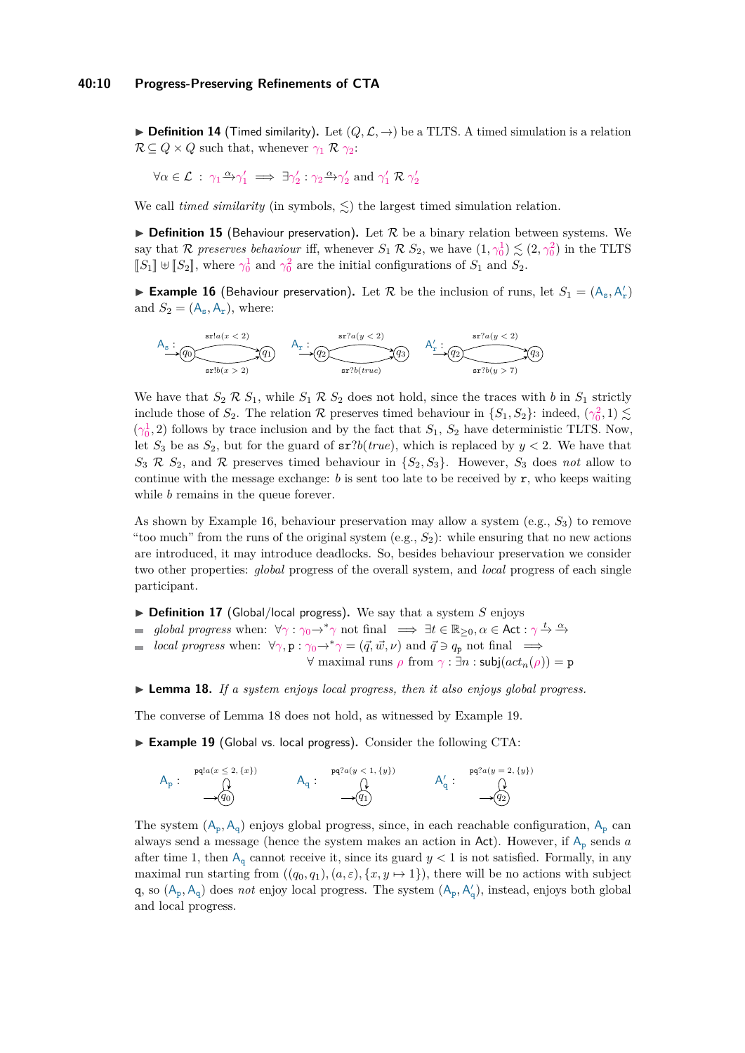$\triangleright$  **Definition 14** (Timed similarity). Let  $(Q, \mathcal{L}, \rightarrow)$  be a TLTS. A timed simulation is a relation  $\mathcal{R} \subseteq Q \times Q$  such that, whenever  $\gamma_1 \mathcal{R} \gamma_2$ :

$$
\forall \alpha \in \mathcal{L} \; : \; \gamma_1 \xrightarrow{\alpha} \gamma_1' \implies \exists \gamma_2' : \gamma_2 \xrightarrow{\alpha} \gamma_2' \text{ and } \gamma_1' \mathcal{R} \gamma_2'
$$

We call *timed similarity* (in symbols,  $\leq$ ) the largest timed simulation relation.

**Definition 15** (Behaviour preservation). Let  $\mathcal{R}$  be a binary relation between systems. We say that R *preserves behaviour* iff, whenever  $S_1 \mathcal{R} S_2$ , we have  $(1, \gamma_0^1) \lesssim (2, \gamma_0^2)$  in the TLTS  $[[S_1] ⊕ [[S_2]],$  where  $γ_0^1$  and  $γ_0^2$  are the initial configurations of  $S_1$  and  $S_2$ .

<span id="page-9-0"></span>**Example 16** (Behaviour preservation). Let  $R$  be the inclusion of runs, let  $S_1 = (A_s, A'_r)$ and  $S_2 = (A_s, A_r)$ , where:

$$
\begin{picture}(120,140)(-10,-20) \put(0,0){\line(1,0){160}} \put(15,0){\line(1,0){160}} \put(15,0){\line(1,0){160}} \put(15,0){\line(1,0){160}} \put(15,0){\line(1,0){160}} \put(15,0){\line(1,0){160}} \put(15,0){\line(1,0){160}} \put(15,0){\line(1,0){160}} \put(15,0){\line(1,0){160}} \put(15,0){\line(1,0){160}} \put(15,0){\line(1,0){160}} \put(15,0){\line(1,0){160}} \put(15,0){\line(1,0){160}} \put(15,0){\line(1,0){160}} \put(15,0){\line(1,0){160}} \put(15,0){\line(1,0){160}} \put(15,0){\line(1,0){160}} \put(15,0){\line(1,0){160}} \put(15,0){\line(1,0){160}} \put(15,0){\line(1,0){160}} \put(15,0){\line(1,0){160}} \put(15,0){\line(1,0){160}} \put(15,0){\line(1,0){160}} \put(15,0){\line(1,0){160}} \put(15,0){\line(1,0){160}} \put(15,0){\line(1,0){160}} \put(15,0){\line(1,0){160}} \put(15,0){\line(1,0){160}} \put(15,0){\line(1,0){160}} \put(15,0){\line(1,0){160}} \put(15,0){\line(1,0){160}} \put(15,0){\line(1,0){160}} \put(15,0){\line(1,0){160}} \put(15,0){\line(1,0){160}} \put(15,0){\line(1,0){160}} \put(15,0){\line(1,0){160}} \put(15,0){\line(1,0){160}} \put(15,0){\line(1,0){160}} \put(15,0){\line(1,0){160}}
$$

We have that  $S_2 \mathcal{R} S_1$ , while  $S_1 \mathcal{R} S_2$  does not hold, since the traces with *b* in  $S_1$  strictly include those of  $S_2$ . The relation R preserves timed behaviour in  $\{S_1, S_2\}$ : indeed,  $(\gamma_0^2, 1) \lesssim$  $(\gamma_0^1, 2)$  follows by trace inclusion and by the fact that  $S_1$ ,  $S_2$  have deterministic TLTS. Now, let  $S_3$  be as  $S_2$ , but for the guard of  $\text{sr?}b(true)$ , which is replaced by  $y < 2$ . We have that  $S_3$  **R**  $S_2$ , and **R** preserves timed behaviour in  $\{S_2, S_3\}$ . However,  $S_3$  does *not* allow to continue with the message exchange:  $b$  is sent too late to be received by  $r$ , who keeps waiting while *b* remains in the queue forever.

As shown by Example [16,](#page-9-0) behaviour preservation may allow a system (e.g., *S*3) to remove "too much" from the runs of the original system  $(e.g., S_2)$ : while ensuring that no new actions are introduced, it may introduce deadlocks. So, besides behaviour preservation we consider two other properties: *global* progress of the overall system, and *local* progress of each single participant.

- $\triangleright$  **Definition 17** (Global/local progress). We say that a system *S* enjoys
- *global progress* when:  $\forall \gamma : \gamma_0 \to^* \gamma$  not final  $\implies \exists t \in \mathbb{R}_{\geq 0}, \alpha \in \mathsf{Act} : \gamma \to \alpha$
- *local progress* when:  $\forall \gamma, p : \gamma_0 \to^* \gamma = (\vec{q}, \vec{w}, \nu)$  and  $\vec{q} \ni q_p$  not final  $\implies$

 $\forall$  maximal runs  $\rho$  from  $\gamma : \exists n : \mathsf{subj}(act_n(\rho)) = \mathsf{p}$ 

<span id="page-9-1"></span> $\blacktriangleright$  **Lemma 18.** *If a system enjoys local progress, then it also enjoys global progress.* 

<span id="page-9-2"></span>The converse of Lemma [18](#page-9-1) does not hold, as witnessed by Example [19.](#page-9-2)

▶ Example 19 (Global vs. local progress). Consider the following CTA:

$$
A_p: \begin{array}{ccc} \text{pq!}a(x \leq 2, \{x\}) & & \text{pq?}a(y < 1, \{y\}) \\ \text{(i)} & & A_q: & \text{(ii)} \\ \hline \text{pq?}a(y) & & \text{pq?}a(y = 2, \{y\}) \\ \text{pq?}a(y = 2, \{y\}) & & \text{pq?}a(y = 2, \{y\}) \\ \text{(iii)} & & \text{pq?}a(y = 2, \{y\}) \\ \text{(iv)} & & \text{pq?}a(y = 2, \{y\}) \end{array}
$$

The system  $(A_p, A_q)$  enjoys global progress, since, in each reachable configuration,  $A_p$  can always send a message (hence the system makes an action in Act). However, if  $A_p$  sends *a* after time 1, then  $A_q$  cannot receive it, since its guard  $y < 1$  is not satisfied. Formally, in any maximal run starting from  $((q_0, q_1), (a, \varepsilon), \{x, y \mapsto 1\})$ , there will be no actions with subject q, so  $(A_p, A_q)$  does *not* enjoy local progress. The system  $(A_p, A'_q)$ , instead, enjoys both global and local progress.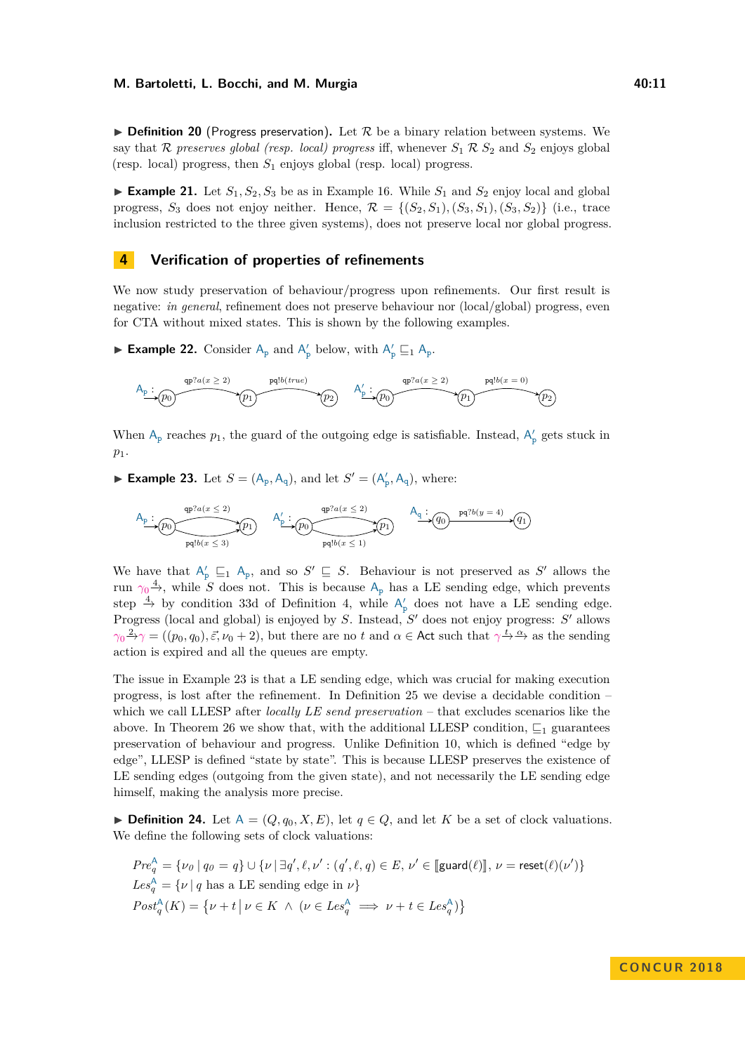**Definition 20** (Progress preservation). Let  $\mathcal{R}$  be a binary relation between systems. We say that R preserves global (resp. local) progress iff, whenever  $S_1 \mathcal{R} S_2$  and  $S_2$  enjoys global (resp. local) progress, then *S*<sup>1</sup> enjoys global (resp. local) progress.

**Example 21.** Let  $S_1, S_2, S_3$  be as in Example [16.](#page-9-0) While  $S_1$  and  $S_2$  enjoy local and global progress,  $S_3$  does not enjoy neither. Hence,  $\mathcal{R} = \{(S_2, S_1), (S_3, S_1), (S_3, S_2)\}\$  (i.e., trace inclusion restricted to the three given systems), does not preserve local nor global progress.

### <span id="page-10-0"></span>**4 Verification of properties of refinements**

We now study preservation of behaviour/progress upon refinements. Our first result is negative: *in general*, refinement does not preserve behaviour nor (local/global) progress, even for CTA without mixed states. This is shown by the following examples.

<span id="page-10-2"></span>**Example 22.** Consider  $A_p$  and  $A'_p$  below, with  $A'_p \sqsubseteq_1 A_p$ .

$$
A_p: (p_0) \xrightarrow{\text{qp?}a(x \geq 2)} p_1 \xrightarrow{\text{pq!}b(true)} (p_2) \xrightarrow{\text{dp?}a(x \geq 2)} p_1 \xrightarrow{\text{qp?}a(x \geq 2)} p_1 \xrightarrow{\text{pq!}b(x = 0)} (p_2)
$$

When  $A_p$  reaches  $p_1$ , the guard of the outgoing edge is satisfiable. Instead,  $A'_p$  gets stuck in *p*1.

<span id="page-10-1"></span>► **Example 23.** Let  $S = (A_p, A_q)$ , and let  $S' = (A'_p, A_q)$ , where:

$$
A_{\underline{p}}: \underbrace{\rho_0 \longrightarrow \rho_1 \longrightarrow \rho_2 \longrightarrow \rho_1 \longrightarrow \rho_2 \longrightarrow \rho_3 \longrightarrow \rho_4 \longrightarrow \rho_5 \longrightarrow \rho_6 \longrightarrow \rho_7 \longrightarrow \rho_8 \longrightarrow \rho_8 \longrightarrow \rho_9 \longrightarrow \rho_9 \longrightarrow \rho_9 \longrightarrow \rho_9 \longrightarrow \rho_9 \longrightarrow \rho_9 \longrightarrow \rho_9 \longrightarrow \rho_9 \longrightarrow \rho_9 \longrightarrow \rho_9 \longrightarrow \rho_9 \longrightarrow \rho_9 \longrightarrow \rho_9 \longrightarrow \rho_9 \longrightarrow \rho_9 \longrightarrow \rho_9 \longrightarrow \rho_9 \longrightarrow \rho_9 \longrightarrow \rho_9 \longrightarrow \rho_9 \longrightarrow \rho_9 \longrightarrow \rho_9 \longrightarrow \rho_9 \longrightarrow \rho_9 \longrightarrow \rho_9 \longrightarrow \rho_9 \longrightarrow \rho_9 \longrightarrow \rho_9 \longrightarrow \rho_9 \longrightarrow \rho_9 \longrightarrow \rho_9 \longrightarrow \rho_9 \longrightarrow \rho_9 \longrightarrow \rho_9 \longrightarrow \rho_9 \longrightarrow \rho_9 \longrightarrow \rho_9 \longrightarrow \rho_9 \longrightarrow \rho_9 \longrightarrow \rho_9 \longrightarrow \rho_9 \longrightarrow \rho_9 \longrightarrow \rho_9 \longrightarrow \rho_9 \longrightarrow \rho_9 \longrightarrow \rho_9 \longrightarrow \rho_9 \longrightarrow \rho_9 \longrightarrow \rho_9 \longrightarrow \rho_9 \longrightarrow \rho_9 \longrightarrow \rho_9 \longrightarrow \rho_9 \longrightarrow \rho_9 \longrightarrow \rho_9 \longrightarrow \rho_9 \longrightarrow \rho_9 \longrightarrow \rho_9 \longrightarrow \rho_9 \longrightarrow \rho_9 \longrightarrow \rho_9 \longrightarrow \rho_9 \longrightarrow \rho_9 \longrightarrow \rho_9 \longrightarrow \rho_9 \longrightarrow \rho_9 \longrightarrow \rho_9 \longrightarrow \rho_9 \longrightarrow \rho_9 \longrightarrow \rho_9 \longrightarrow \rho_9 \longrightarrow \rho_9 \longrightarrow \rho_9 \longrightarrow \rho_9 \longrightarrow \rho_9 \longrightarrow \rho_9 \longrightarrow \rho_9 \longrightarrow \rho_9 \longrightarrow \rho_9 \longrightarrow \rho_9 \longrightarrow \rho_9 \longrightarrow \rho_9 \longrightarrow \rho_9 \longrightarrow \rho_9 \longrightarrow \rho_9 \longrightarrow \rho_9 \longrightarrow \rho_9 \longrightarrow \rho_9 \longrightarrow \rho_9 \longrightarrow \rho_9 \longrightarrow \rho_9 \longrightarrow \rho_9 \longrightarrow \rho_9 \longrightarrow \rho_9 \longrightarrow \rho_9 \longrightarrow \rho_9 \longrightarrow \rho_9 \longrightarrow \rho_9 \longrightarrow \rho_9 \longrightarrow \rho_9 \longrightarrow \rho_9 \longrightarrow \rho_9 \longrightarrow \rho_9 \longrightarrow \rho_9 \longrightarrow \rho_9 \longrightarrow \rho_9 \longrightarrow \rho_9 \longrightarrow \rho_9 \longrightarrow \rho_9 \longrightarrow \rho_9 \longrightarrow \rho_9 \longrightarrow \rho_9 \longrightarrow \rho_9
$$

We have that  $A'_p \subseteq_1 A_p$ , and so  $S' \subseteq S$ . Behaviour is not preserved as S' allows the run  $\gamma_0 \stackrel{4}{\rightarrow}$ , while *S* does not. This is because  $A_p$  has a LE sending edge, which prevents step  $\stackrel{4}{\rightarrow}$  by condition [3](#page-6-2)[3d](#page-6-6) of Definition [4,](#page-6-8) while  $A'_{p}$  does not have a LE sending edge. Progress (local and global) is enjoyed by *S*. Instead, *S'* does not enjoy progress: *S'* allows  $\gamma_0^2 \rightarrow \gamma = ((p_0, q_0), \vec{\varepsilon}, \nu_0 + 2)$ , but there are no *t* and  $\alpha \in$  Act such that  $\gamma \stackrel{t}{\rightarrow} \stackrel{\alpha}{\rightarrow}$  as the sending action is expired and all the queues are empty.

The issue in Example [23](#page-10-1) is that a LE sending edge, which was crucial for making execution progress, is lost after the refinement. In Definition [25](#page-11-2) we devise a decidable condition – which we call LLESP after *locally LE send preservation* – that excludes scenarios like the above. In Theorem [26](#page-11-0) we show that, with the additional LLESP condition,  $\sqsubseteq_1$  guarantees preservation of behaviour and progress. Unlike Definition [10,](#page-8-3) which is defined "edge by edge", LLESP is defined "state by state". This is because LLESP preserves the existence of LE sending edges (outgoing from the given state), and not necessarily the LE sending edge himself, making the analysis more precise.

▶ **Definition 24.** Let  $A = (Q, q_0, X, E)$ , let  $q \in Q$ , and let *K* be a set of clock valuations. We define the following sets of clock valuations:

$$
Pre_q^A = \{ \nu_0 \mid q_0 = q \} \cup \{ \nu \mid \exists q', \ell, \nu' : (q', \ell, q) \in E, \nu' \in [\text{guard}(\ell)] \}, \nu = \text{reset}(\ell)(\nu') \}
$$
  

$$
Les_q^A = \{ \nu \mid q \text{ has a LE sending edge in } \nu \}
$$
  

$$
Post_q^A(K) = \{ \nu + t \mid \nu \in K \land (\nu \in Les_q^A \implies \nu + t \in Les_q^A) \}
$$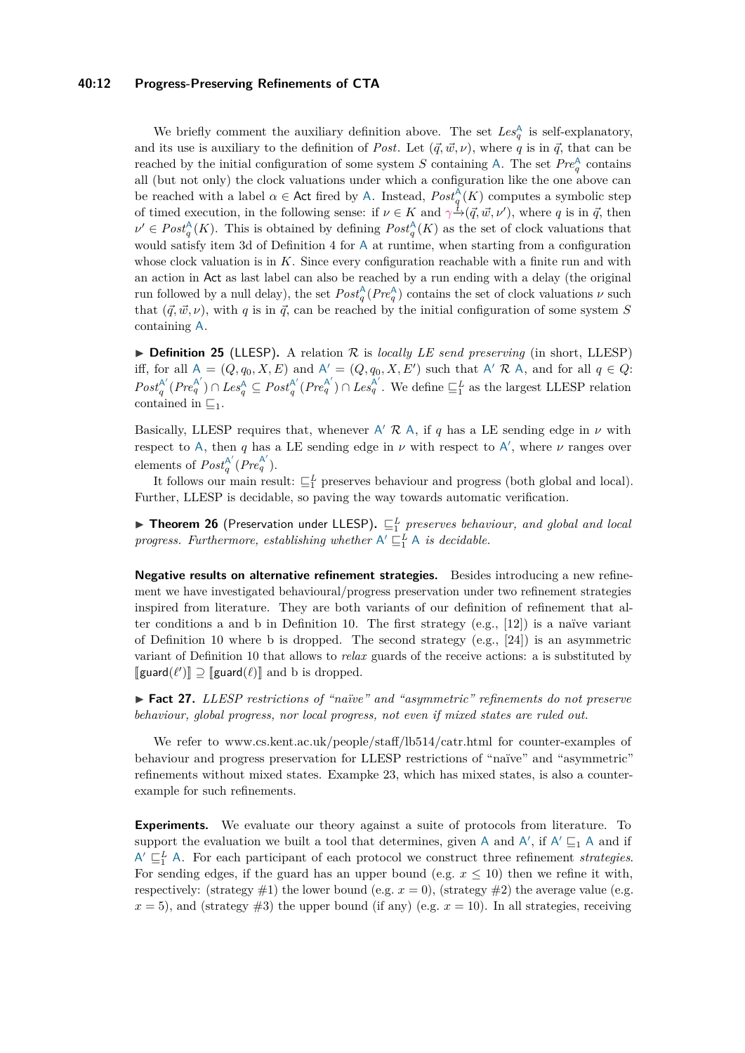#### **40:12 Progress-Preserving Refinements of CTA**

We briefly comment the auxiliary definition above. The set  $Les_q^{\mathsf{A}}$  is self-explanatory, and its use is auxiliary to the definition of *Post*. Let  $(\vec{q}, \vec{w}, \nu)$ , where *q* is in  $\vec{q}$ , that can be reached by the initial configuration of some system *S* containing A. The set  $Pre^{\mathbb{A}}_{q}$  contains all (but not only) the clock valuations under which a configuration like the one above can be reached with a label  $\alpha \in$  Act fired by A. Instead,  $Post_q^{\mathcal{A}}(K)$  computes a symbolic step of timed execution, in the following sense: if  $\nu \in K$  and  $\gamma \to (\vec{q}, \vec{w}, \nu')$ , where *q* is in  $\vec{q}$ , then  $\nu' \in Post_q^{\mathcal{A}}(K)$ . This is obtained by defining  $Post_q^{\mathcal{A}}(K)$  as the set of clock valuations that would satisfy item [3d](#page-6-6) of Definition [4](#page-6-8) for A at runtime, when starting from a configuration whose clock valuation is in *K*. Since every configuration reachable with a finite run and with an action in Act as last label can also be reached by a run ending with a delay (the original run followed by a null delay), the set  $Post_q^{\wedge}(Pre_q^{\wedge})$  contains the set of clock valuations  $\nu$  such that  $(\vec{q}, \vec{w}, \nu)$ , with *q* is in  $\vec{q}$ , can be reached by the initial configuration of some system *S* containing A.

<span id="page-11-2"></span> $\triangleright$  **Definition 25** (LLESP). A relation R is *locally LE send preserving* (in short, LLESP) iff, for all  $A = (Q, q_0, X, E)$  and  $A' = (Q, q_0, X, E')$  such that  $A' \mathcal{R} A$ , and for all  $q \in Q$ :  $Post^{\mathsf{A}'}_a$  $q^{\mathsf{A}'}$  $(Pre_q^{\mathsf{A}'})$  ∩  $Les_q^{\mathsf{A}}$  ⊆  $Post_q^{\mathsf{A}'}$  $q^{\mathcal{A}'}(Pre_q^{\mathcal{A}'}) \cap Les_q^{\mathcal{A}'}$ . We define  $\sqsubseteq_1^L$  as the largest LLESP relation contained in  $\sqsubseteq_1$ 

Basically, LLESP requires that, whenever  $A'$  R A, if q has a LE sending edge in  $\nu$  with respect to A, then *q* has a LE sending edge in  $\nu$  with respect to A', where  $\nu$  ranges over elements of  $Post^{\mathsf{A}'}_a$  $\frac{A'}{q}(Pre_{q}^{A'})$ .

It follows our main result:  $\sqsubseteq_1^L$  preserves behaviour and progress (both global and local). Further, LLESP is decidable, so paving the way towards automatic verification.

<span id="page-11-0"></span>**Fineorem 26** (Preservation under LLESP).  $\sqsubseteq_{1}^{L}$  preserves behaviour, and global and local progress. Furthermore, establishing whether  $A' \sqsubseteq_1^L A$  is decidable.

**Negative results on alternative refinement strategies.** Besides introducing a new refinement we have investigated behavioural/progress preservation under two refinement strategies inspired from literature. They are both variants of our definition of refinement that alter conditions [a](#page-8-0) and [b](#page-8-1) in Definition [10.](#page-8-3) The first strategy  $(e.g., [12])$  $(e.g., [12])$  $(e.g., [12])$  is a naïve variant of Definition [10](#page-8-3) where [b](#page-8-1) is dropped. The second strategy  $(e.g., [24])$  $(e.g., [24])$  $(e.g., [24])$  is an asymmetric variant of Definition [10](#page-8-3) that allows to *relax* guards of the receive actions: [a](#page-8-0) is substituted by  $[\textsf{guard}(\ell')] \supseteq [\textsf{guard}(\ell)]$  and [b](#page-8-1) is dropped.

<span id="page-11-1"></span>► **Fact 27.** *LLESP restrictions of "naïve" and "asymmetric" refinements do not preserve behaviour, global progress, nor local progress, not even if mixed states are ruled out.*

We refer to [www.cs.kent.ac.uk/people/staff/lb514/catr.html](https://www.cs.kent.ac.uk/people/staff/lb514/catr.html) for counter-examples of behaviour and progress preservation for LLESP restrictions of "naïve" and "asymmetric" refinements without mixed states. Exampke [23,](#page-10-1) which has mixed states, is also a counterexample for such refinements.

<span id="page-11-3"></span>**Experiments.** We evaluate our theory against a suite of protocols from literature. To support the evaluation we built a tool that determines, given A and  $A'$ , if  $A' \sqsubseteq_1 A$  and if  $A' \sqsubseteq_1^L A$ . For each participant of each protocol we construct three refinement *strategies*. For sending edges, if the guard has an upper bound (e.g.  $x \leq 10$ ) then we refine it with, respectively: (strategy  $\#1$ ) the lower bound (e.g.  $x = 0$ ), (strategy  $\#2$ ) the average value (e.g.  $x = 5$ , and (strategy  $\#3$ ) the upper bound (if any) (e.g.  $x = 10$ ). In all strategies, receiving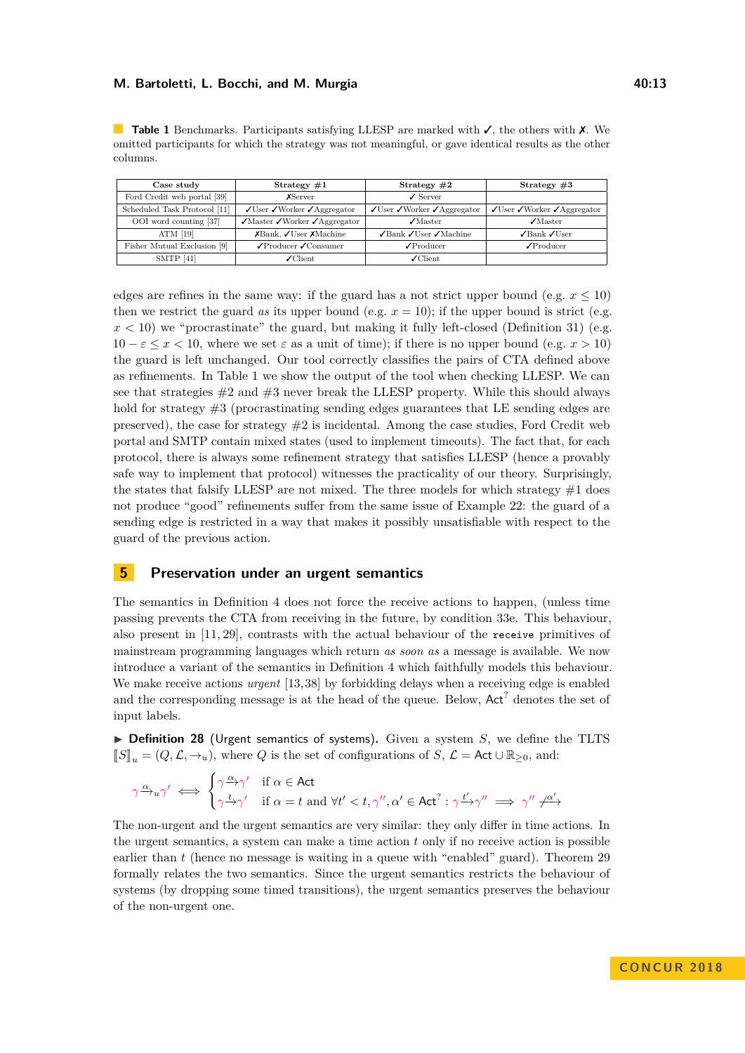<span id="page-12-2"></span>**Table 1** Benchmarks. Participants satisfying LLESP are marked with ✓, the others with ✗. We omitted participants for which the strategy was not meaningful, or gave identical results as the other columns.

| Case study                   | Strategy $#1$                                                                 | Strategy $#2$                                                       | Strategy $#3$                                                       |
|------------------------------|-------------------------------------------------------------------------------|---------------------------------------------------------------------|---------------------------------------------------------------------|
| Ford Credit web portal [39]  | <b>X</b> Server                                                               | $\angle$ Server                                                     |                                                                     |
| Scheduled Task Protocol [11] | $\sqrt{\text{User}} \sqrt{\text{Worker}} \sqrt{\text{Aggregation}}$           | $\sqrt{\text{User}} \sqrt{\text{Worker}} \sqrt{\text{Aggregation}}$ | $\sqrt{\text{User}} \sqrt{\text{Worker}} \sqrt{\text{Aggregation}}$ |
| OOI word counting [37]       | $\sqrt{\text{Master}} \sqrt{\text{Wor} \text{ker}} \sqrt{\text{Aggregation}}$ | $\sqrt{\text{Master}}$                                              | $\sqrt{\text{M}}$ aster                                             |
| ATM $[19]$                   | $X$ Bank, $\sqrt{\text{User}} X$ Machine                                      | $\sqrt{\text{Bank}} \sqrt{\text{User}} \sqrt{\text{Machine}}$       | $\sqrt{\text{Bank}} \sqrt{\text{User}}$                             |
| Fisher Mutual Exclusion [9]  | $\sqrt{\text{Product}} \cdot \sqrt{\text{Consumer}}$                          | $\sqrt{\frac{P_{\text{roducer}}}{P_{\text{rodicer}}}}$              | $\sqrt{\frac{P_{\text{roducer}}}{P_{\text{roducer}}}}$              |
| SMTP $[41]$                  | $\sqrt{\text{Client}}$                                                        | $\chi$ Client                                                       |                                                                     |

edges are refines in the same way: if the guard has a not strict upper bound (e.g.  $x \le 10$ ) then we restrict the guard *as* its upper bound (e.g.  $x = 10$ ); if the upper bound is strict (e.g.  $x < 10$ ) we "procrastinate" the guard, but making it fully left-closed (Definition [31\)](#page-13-2) (e.g.  $10 - \varepsilon \leq x < 10$ , where we set  $\varepsilon$  as a unit of time); if there is no upper bound (e.g.  $x > 10$ ) the guard is left unchanged. Our tool correctly classifies the pairs of CTA defined above as refinements. In Table [1](#page-12-2) we show the output of the tool when checking LLESP. We can see that strategies  $\#2$  and  $\#3$  never break the LLESP property. While this should always hold for strategy  $\#3$  (procrastinating sending edges guarantees that LE sending edges are preserved), the case for strategy  $#2$  is incidental. Among the case studies, Ford Credit web portal and SMTP contain mixed states (used to implement timeouts). The fact that, for each protocol, there is always some refinement strategy that satisfies LLESP (hence a provably safe way to implement that protocol) witnesses the practicality of our theory. Surprisingly, the states that falsify LLESP are not mixed. The three models for which strategy  $#1$  does not produce "good" refinements suffer from the same issue of Example [22:](#page-10-2) the guard of a sending edge is restricted in a way that makes it possibly unsatisfiable with respect to the guard of the previous action.

### **5 Preservation under an urgent semantics**

The semantics in Definition [4](#page-6-8) does not force the receive actions to happen, (unless time passing prevents the CTA from receiving in the future, by condition [3](#page-6-2)[3e.](#page-6-7) This behaviour, also present in [\[11,](#page-17-2) [29\]](#page-18-3), contrasts with the actual behaviour of the receive primitives of mainstream programming languages which return *as soon as* a message is available. We now introduce a variant of the semantics in Definition [4](#page-6-8) which faithfully models this behaviour. We make receive actions *urgent* [\[13,](#page-17-17) [38\]](#page-18-10) by forbidding delays when a receiving edge is enabled and the corresponding message is at the head of the queue. Below,  $Act^?$  denotes the set of input labels.

<span id="page-12-0"></span> $\triangleright$  **Definition 28** (Urgent semantics of systems). Given a system *S*, we define the TLTS  $\llbracket S \rrbracket_u = (Q, \mathcal{L}, \rightarrow_u)$ , where *Q* is the set of configurations of *S*,  $\mathcal{L} =$  Act ∪  $\mathbb{R}_{\geq 0}$ , and:

$$
\gamma \xrightarrow{\alpha} u \gamma' \iff \begin{cases} \gamma \xrightarrow{\alpha} \gamma' & \text{if } \alpha \in \text{Act} \\ \gamma \xrightarrow{t} \gamma' & \text{if } \alpha = t \text{ and } \forall t' < t, \gamma'', \alpha' \in \text{Act}^? : \gamma \xrightarrow{t'} \gamma'' \implies \gamma'' \nrightarrow \gamma'' \end{cases}
$$

<span id="page-12-1"></span>The non-urgent and the urgent semantics are very similar: they only differ in time actions. In the urgent semantics, a system can make a time action *t* only if no receive action is possible earlier than *t* (hence no message is waiting in a queue with "enabled" guard). Theorem [29](#page-12-1) formally relates the two semantics. Since the urgent semantics restricts the behaviour of systems (by dropping some timed transitions), the urgent semantics preserves the behaviour of the non-urgent one.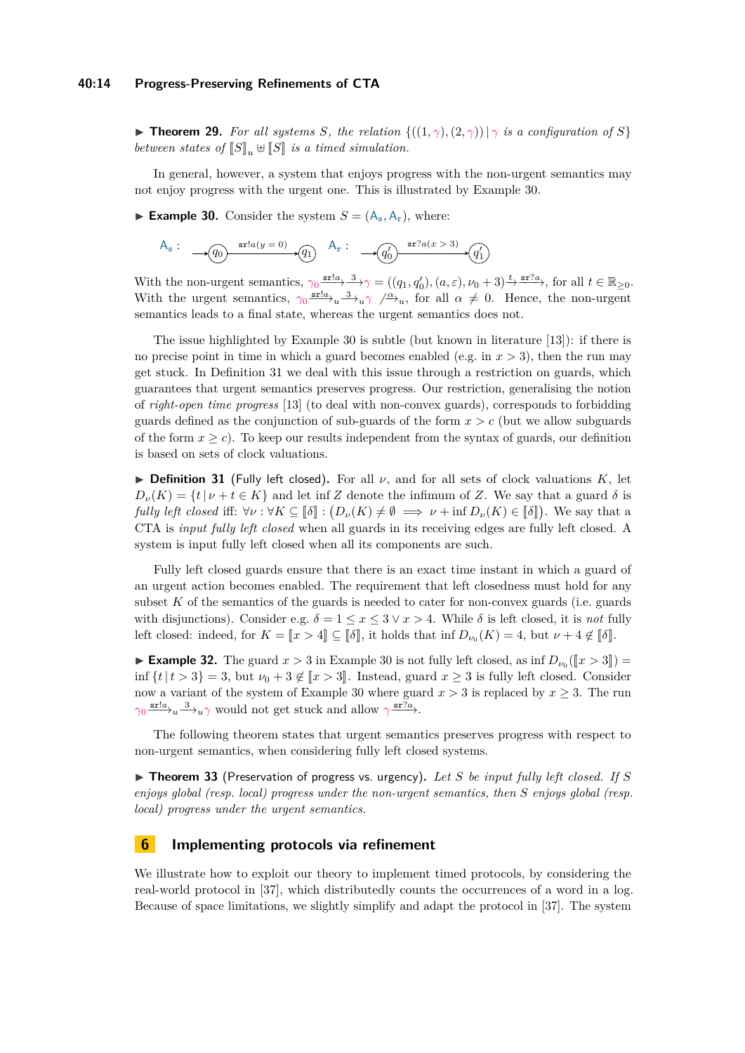#### **40:14 Progress-Preserving Refinements of CTA**

▶ **Theorem 29.** For all systems *S*, the relation  $\{((1, \gamma), (2, \gamma)) | \gamma$  is a configuration of *S*} *between states of*  $\llbracket S \rrbracket$ ,  $\# \llbracket S \rrbracket$  *is a timed simulation.* 

In general, however, a system that enjoys progress with the non-urgent semantics may not enjoy progress with the urgent one. This is illustrated by Example [30.](#page-13-3)

<span id="page-13-3"></span>**Example 30.** Consider the system  $S = (A_s, A_r)$ , where:

A<sup>s</sup> : *q*<sup>0</sup> *q*<sup>1</sup> sr!*a*(*<sup>y</sup>* = 0) A<sup>r</sup> : *q* 0 0 *q* 0 1 sr?*a*(*x >* 3)

With the non-urgent semantics,  $\gamma_0 \xrightarrow{\text{sr}:a} 3 \gamma = ((q_1, q'_0), (a, \varepsilon), \nu_0 + 3) \xrightarrow{t} \text{sr}:a \gamma$ , for all  $t \in \mathbb{R}_{\geq 0}$ . With the urgent semantics,  $\gamma_0 \frac{\text{sr!}a}{\text{s}^2} u \frac{3}{\text{s}^2} u \gamma \frac{a}{\text{s}^2} u$ , for all  $\alpha \neq 0$ . Hence, the non-urgent semantics leads to a final state, whereas the urgent semantics does not.

The issue highlighted by Example [30](#page-13-3) is subtle (but known in literature [\[13\]](#page-17-17)): if there is no precise point in time in which a guard becomes enabled (e.g. in *x >* 3), then the run may get stuck. In Definition [31](#page-13-2) we deal with this issue through a restriction on guards, which guarantees that urgent semantics preserves progress. Our restriction, generalising the notion of *right-open time progress* [\[13\]](#page-17-17) (to deal with non-convex guards), corresponds to forbidding guards defined as the conjunction of sub-guards of the form  $x > c$  (but we allow subguards of the form  $x \geq c$ ). To keep our results independent from the syntax of guards, our definition is based on sets of clock valuations.

<span id="page-13-2"></span>**Definition 31** (Fully left closed). For all  $\nu$ , and for all sets of clock valuations  $K$ , let  $D_{\nu}(K) = \{t | \nu + t \in K\}$  and let inf *Z* denote the infimum of *Z*. We say that a guard  $\delta$  is *fully left closed* iff:  $\forall \nu : \forall K \subseteq [\![\delta]\!] : (D_{\nu}(K) \neq \emptyset \implies \nu + \inf D_{\nu}(K) \in [\![\delta]\!]$ ). We say that a CTA is imput fully left closed when all guards in its presiding along ang fully left closed. A CTA is *input fully left closed* when all guards in its receiving edges are fully left closed. A system is input fully left closed when all its components are such.

Fully left closed guards ensure that there is an exact time instant in which a guard of an urgent action becomes enabled. The requirement that left closedness must hold for any subset  $K$  of the semantics of the guards is needed to cater for non-convex guards (i.e. guards with disjunctions). Consider e.g.  $\delta = 1 \le x \le 3 \vee x > 4$ . While  $\delta$  is left closed, it is *not* fully left closed: indeed, for  $K = \llbracket x > 4 \rrbracket \subseteq \llbracket \delta \rrbracket$ , it holds that inf  $D_{\nu_0}(K) = 4$ , but  $\nu + 4 \notin \llbracket \delta \rrbracket$ .

**Example 32.** The guard  $x > 3$  in Example [30](#page-13-3) is not fully left closed, as inf  $D_{\nu_0}([x > 3]) =$ inf  $\{t | t > 3\} = 3$ , but  $\nu_0 + 3 \notin [x > 3]$ . Instead, guard  $x \geq 3$  is fully left closed. Consider now a variant of the system of Example [30](#page-13-3) where guard  $x > 3$  is replaced by  $x \geq 3$ . The run  $\gamma_0 \frac{\text{sr!}a}{\text{s} \gamma_u} \rightarrow u \gamma$  would not get stuck and allow  $\gamma \frac{\text{sr?}a}{\text{s} \gamma_u}$ .

The following theorem states that urgent semantics preserves progress with respect to non-urgent semantics, when considering fully left closed systems.

<span id="page-13-1"></span> $\triangleright$  **Theorem 33** (Preservation of progress vs. urgency). Let *S* be input fully left closed. If *S enjoys global (resp. local) progress under the non-urgent semantics, then S enjoys global (resp. local) progress under the urgent semantics.*

# <span id="page-13-0"></span>**6 Implementing protocols via refinement**

We illustrate how to exploit our theory to implement timed protocols, by considering the real-world protocol in [\[37\]](#page-18-15), which distributedly counts the occurrences of a word in a log. Because of space limitations, we slightly simplify and adapt the protocol in [\[37\]](#page-18-15). The system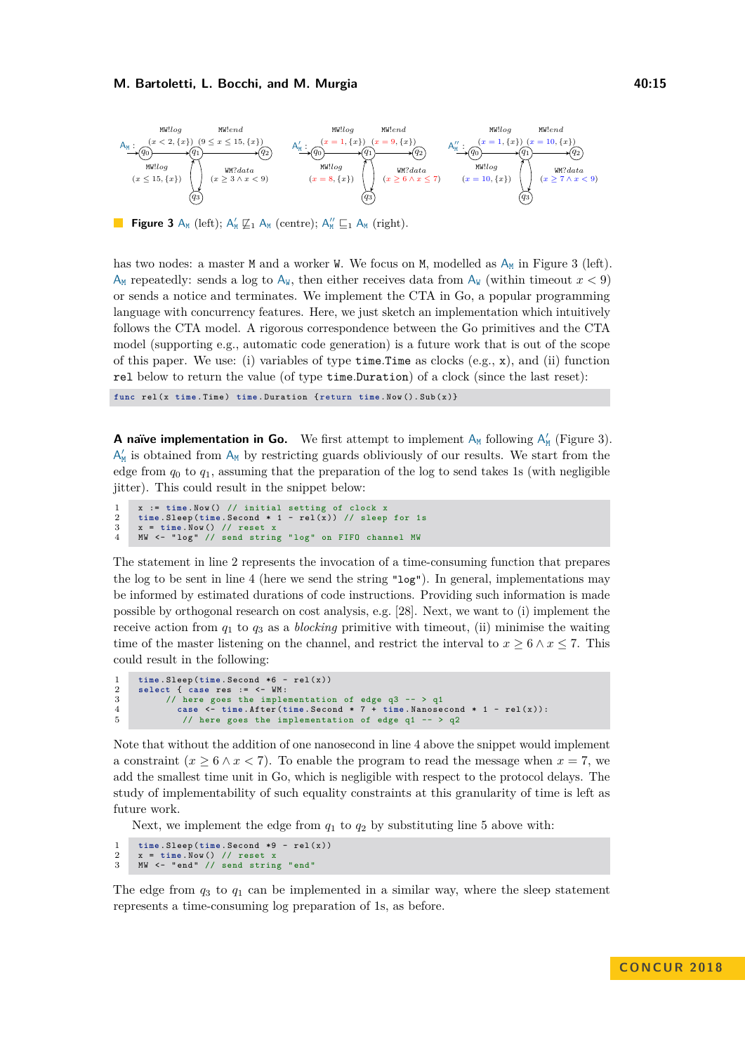<span id="page-14-0"></span>

**Figure 3** A<sub>M</sub> (left);  $A'_M \not\sqsubseteq_1 A_M$  (centre);  $A''_M \sqsubseteq_1 A_M$  (right).

has two nodes: a master  $M$  and a worker W. We focus on  $M$ , modelled as  $A_M$  in Figure [3](#page-14-0) (left).  $A_M$  repeatedly: sends a log to  $A_W$ , then either receives data from  $A_W$  (within timeout  $x < 9$ ) or sends a notice and terminates. We implement the CTA in Go, a popular programming language with concurrency features. Here, we just sketch an implementation which intuitively follows the CTA model. A rigorous correspondence between the Go primitives and the CTA model (supporting e.g., automatic code generation) is a future work that is out of the scope of this paper. We use: (i) variables of type time*.*Time as clocks (e.g., x), and (ii) function rel below to return the value (of type time*.*Duration) of a clock (since the last reset):

**func** rel (x **time** . Time ) **time** . Duration { return **time** . Now (). Sub (x )}

**A** naïve implementation in Go. We first attempt to implement  $A_M$  following  $A'_M$  (Figure [3\)](#page-14-0).  $\mathsf{A}'_\mathtt{M}$  is obtained from  $\mathsf{A}_\mathtt{M}$  by restricting guards obliviously of our results. We start from the edge from  $q_0$  to  $q_1$ , assuming that the preparation of the log to send takes 1s (with negligible iitter). This could result in the snippet below:

```
x := \text{time}. Now () // initial setting of clock x<br>2 \text{ time} Sleep (time Second * 1 - \text{rel}(x)) // sleep
2 time.Sleep (time.Second * 1 - rel (x)) // sleep for 1s<br>3 x = time.Now () // reset x
3 x = time . Now () // reset x
4 MW <- " log " // send string " log " on FIFO channel MW
```
The statement in line 2 represents the invocation of a time-consuming function that prepares the log to be sent in line 4 (here we send the string "log"). In general, implementations may be informed by estimated durations of code instructions. Providing such information is made possible by orthogonal research on cost analysis, e.g. [\[28\]](#page-18-16). Next, we want to (i) implement the receive action from  $q_1$  to  $q_3$  as a *blocking* primitive with timeout, (ii) minimise the waiting time of the master listening on the channel, and restrict the interval to  $x \geq 6 \land x \leq 7$ . This could result in the following:

```
1 time. Sleep (time. Second *6 - rel (x))<br>2 select f case res := \leq WM:
2 select { case res := <- WM :
3 // here goes the implementation of edge q3 -- > q1<br>4 case <- time. After(time. Second * 7 + time. Nanose
4 case <- time . After ( time . Second * 7 + time . Nanosecond * 1 - rel (x )):
                5 // here goes the implementation of edge q1 -- > q2
```
Note that without the addition of one nanosecond in line 4 above the snippet would implement a constraint  $(x > 6 \land x < 7)$ . To enable the program to read the message when  $x = 7$ , we add the smallest time unit in Go, which is negligible with respect to the protocol delays. The study of implementability of such equality constraints at this granularity of time is left as future work.

Next, we implement the edge from  $q_1$  to  $q_2$  by substituting line 5 above with:

```
1 time. Sleep (time. Second *9 - rel (x))<br>2 x = time Nov() // reset x
2 x = time . Now () // reset<br>3 MW <- "end" // send str
      MW <- "end" // send string "end"
```
The edge from  $q_3$  to  $q_1$  can be implemented in a similar way, where the sleep statement represents a time-consuming log preparation of 1s, as before.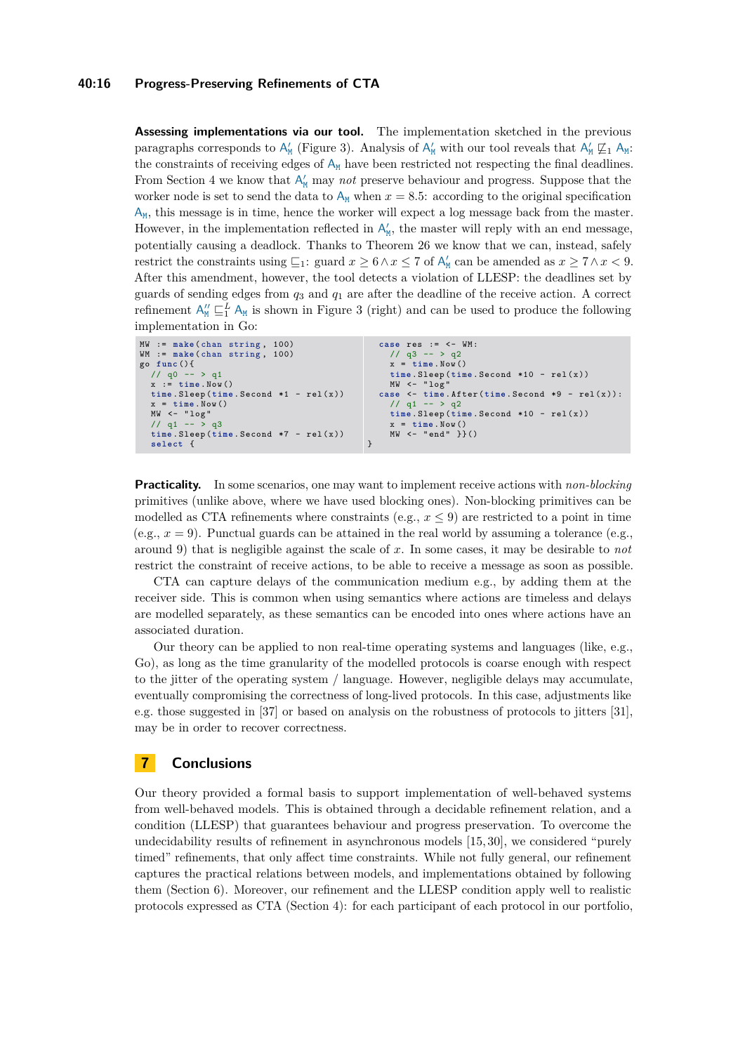#### **40:16 Progress-Preserving Refinements of CTA**

**Assessing implementations via our tool.** The implementation sketched in the previous paragraphs corresponds to  $A'_M$  (Figure [3\)](#page-14-0). Analysis of  $A'_M$  with our tool reveals that  $A'_M \not\sqsubseteq_1 A_M$ : the constraints of receiving edges of  $A_M$  have been restricted not respecting the final deadlines. From Section [4](#page-10-0) we know that  $A'_{M}$  may *not* preserve behaviour and progress. Suppose that the worker node is set to send the data to  $A_M$  when  $x = 8.5$ : according to the original specification  $A_M$ , this message is in time, hence the worker will expect a log message back from the master. However, in the implementation reflected in  $A'_{M}$ , the master will reply with an end message, potentially causing a deadlock. Thanks to Theorem [26](#page-11-0) we know that we can, instead, safely restrict the constraints using  $\sqsubseteq_1$ : guard  $x \ge 6 \wedge x \le 7$  of  $A'_{M}$  can be amended as  $x \ge 7 \wedge x < 9$ . After this amendment, however, the tool detects a violation of LLESP: the deadlines set by guards of sending edges from *q*<sup>3</sup> and *q*<sup>1</sup> are after the deadline of the receive action. A correct refinement  $A''_{M} \sqsubseteq_{1}^{L} A_{M}$  is shown in Figure [3](#page-14-0) (right) and can be used to produce the following implementation in Go:

```
MW := make ( chan string , 100)
WM := make(chan string, 100)
go func (){
  // q0 -- > q1x := time . Now ()
  time . Sleep ( time . Second *1 - rel ( x ))
  x = time . Now ()
  MW <- " log "
// q1 -- > q3
  time . Sleep ( time . Second *7 - rel ( x ))
  select {
                                                      case res := <- WM :
                                                        1/ q3 -- > q2
                                                        x = time. Now()time . Sleep ( time . Second *10 - rel (x ))
                                                      MW <- " log "
case <- time . After ( time . Second *9 - rel (x )):
                                                        // q1 -- > q2time . Sleep ( time . Second *10 - rel (x ))
                                                          x = time . Now ()
                                                        MW <- " end " }}()
                                                    }
```
**Practicality.** In some scenarios, one may want to implement receive actions with *non-blocking* primitives (unlike above, where we have used blocking ones). Non-blocking primitives can be modelled as CTA refinements where constraints (e.g.,  $x \leq 9$ ) are restricted to a point in time (e.g.,  $x = 9$ ). Punctual guards can be attained in the real world by assuming a tolerance (e.g., around 9) that is negligible against the scale of *x*. In some cases, it may be desirable to *not* restrict the constraint of receive actions, to be able to receive a message as soon as possible.

CTA can capture delays of the communication medium e.g., by adding them at the receiver side. This is common when using semantics where actions are timeless and delays are modelled separately, as these semantics can be encoded into ones where actions have an associated duration.

Our theory can be applied to non real-time operating systems and languages (like, e.g., Go), as long as the time granularity of the modelled protocols is coarse enough with respect to the jitter of the operating system / language. However, negligible delays may accumulate, eventually compromising the correctness of long-lived protocols. In this case, adjustments like e.g. those suggested in [\[37\]](#page-18-15) or based on analysis on the robustness of protocols to jitters [\[31\]](#page-18-17), may be in order to recover correctness.

# **7 Conclusions**

Our theory provided a formal basis to support implementation of well-behaved systems from well-behaved models. This is obtained through a decidable refinement relation, and a condition (LLESP) that guarantees behaviour and progress preservation. To overcome the undecidability results of refinement in asynchronous models [\[15,](#page-17-11) [30\]](#page-18-11), we considered "purely timed" refinements, that only affect time constraints. While not fully general, our refinement captures the practical relations between models, and implementations obtained by following them (Section [6\)](#page-13-0). Moreover, our refinement and the LLESP condition apply well to realistic protocols expressed as CTA (Section [4\)](#page-11-3): for each participant of each protocol in our portfolio,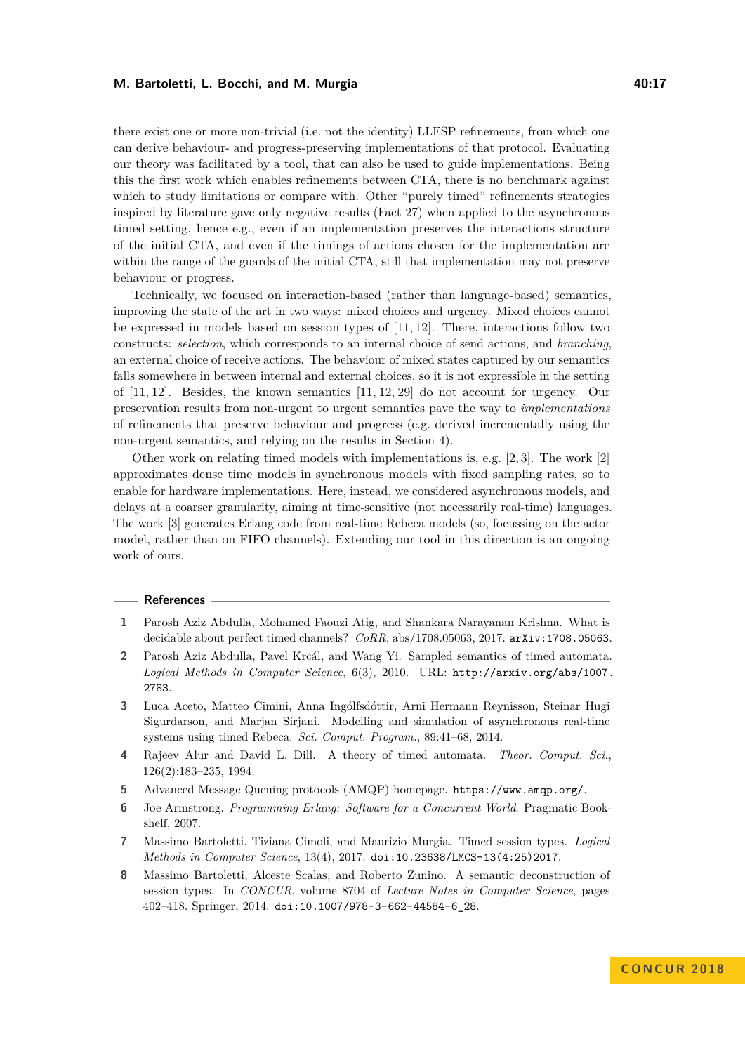there exist one or more non-trivial (i.e. not the identity) LLESP refinements, from which one can derive behaviour- and progress-preserving implementations of that protocol. Evaluating our theory was facilitated by a tool, that can also be used to guide implementations. Being this the first work which enables refinements between CTA, there is no benchmark against which to study limitations or compare with. Other "purely timed" refinements strategies inspired by literature gave only negative results (Fact [27\)](#page-11-1) when applied to the asynchronous timed setting, hence e.g., even if an implementation preserves the interactions structure of the initial CTA, and even if the timings of actions chosen for the implementation are within the range of the guards of the initial CTA, still that implementation may not preserve behaviour or progress.

Technically, we focused on interaction-based (rather than language-based) semantics, improving the state of the art in two ways: mixed choices and urgency. Mixed choices cannot be expressed in models based on session types of [\[11,](#page-17-2) [12\]](#page-17-10). There, interactions follow two constructs: *selection*, which corresponds to an internal choice of send actions, and *branching*, an external choice of receive actions. The behaviour of mixed states captured by our semantics falls somewhere in between internal and external choices, so it is not expressible in the setting of [\[11,](#page-17-2) [12\]](#page-17-10). Besides, the known semantics [\[11,](#page-17-2) [12,](#page-17-10) [29\]](#page-18-3) do not account for urgency. Our preservation results from non-urgent to urgent semantics pave the way to *implementations* of refinements that preserve behaviour and progress (e.g. derived incrementally using the non-urgent semantics, and relying on the results in Section [4\)](#page-10-0).

Other work on relating timed models with implementations is, e.g.  $[2, 3]$  $[2, 3]$ . The work  $[2]$ approximates dense time models in synchronous models with fixed sampling rates, so to enable for hardware implementations. Here, instead, we considered asynchronous models, and delays at a coarser granularity, aiming at time-sensitive (not necessarily real-time) languages. The work [\[3\]](#page-16-7) generates Erlang code from real-time Rebeca models (so, focussing on the actor model, rather than on FIFO channels). Extending our tool in this direction is an ongoing work of ours.

#### **References**

- <span id="page-16-2"></span>**1** Parosh Aziz Abdulla, Mohamed Faouzi Atig, and Shankara Narayanan Krishna. What is decidable about perfect timed channels? *CoRR*, abs/1708.05063, 2017. [arXiv:1708.05063](http://arxiv.org/abs/1708.05063).
- <span id="page-16-6"></span>**2** Parosh Aziz Abdulla, Pavel Krcál, and Wang Yi. Sampled semantics of timed automata. *Logical Methods in Computer Science*, 6(3), 2010. URL: [http://arxiv.org/abs/1007.](http://arxiv.org/abs/1007.2783) [2783](http://arxiv.org/abs/1007.2783).
- <span id="page-16-7"></span>**3** Luca Aceto, Matteo Cimini, Anna Ingólfsdóttir, Arni Hermann Reynisson, Steinar Hugi Sigurdarson, and Marjan Sirjani. Modelling and simulation of asynchronous real-time systems using timed Rebeca. *Sci. Comput. Program.*, 89:41–68, 2014.
- <span id="page-16-0"></span>**4** Rajeev Alur and David L. Dill. A theory of timed automata. *Theor. Comput. Sci.*, 126(2):183–235, 1994.
- <span id="page-16-1"></span>**5** Advanced Message Queuing protocols (AMQP) homepage. <https://www.amqp.org/>.
- <span id="page-16-5"></span>**6** Joe Armstrong. *Programming Erlang: Software for a Concurrent World*. Pragmatic Bookshelf, 2007.
- <span id="page-16-3"></span>**7** Massimo Bartoletti, Tiziana Cimoli, and Maurizio Murgia. Timed session types. *Logical Methods in Computer Science*, 13(4), 2017. [doi:10.23638/LMCS-13\(4:25\)2017](http://dx.doi.org/10.23638/LMCS-13(4:25)2017).
- <span id="page-16-4"></span>**8** Massimo Bartoletti, Alceste Scalas, and Roberto Zunino. A semantic deconstruction of session types. In *CONCUR*, volume 8704 of *Lecture Notes in Computer Science*, pages 402–418. Springer, 2014. [doi:10.1007/978-3-662-44584-6\\_28](http://dx.doi.org/10.1007/978-3-662-44584-6_28).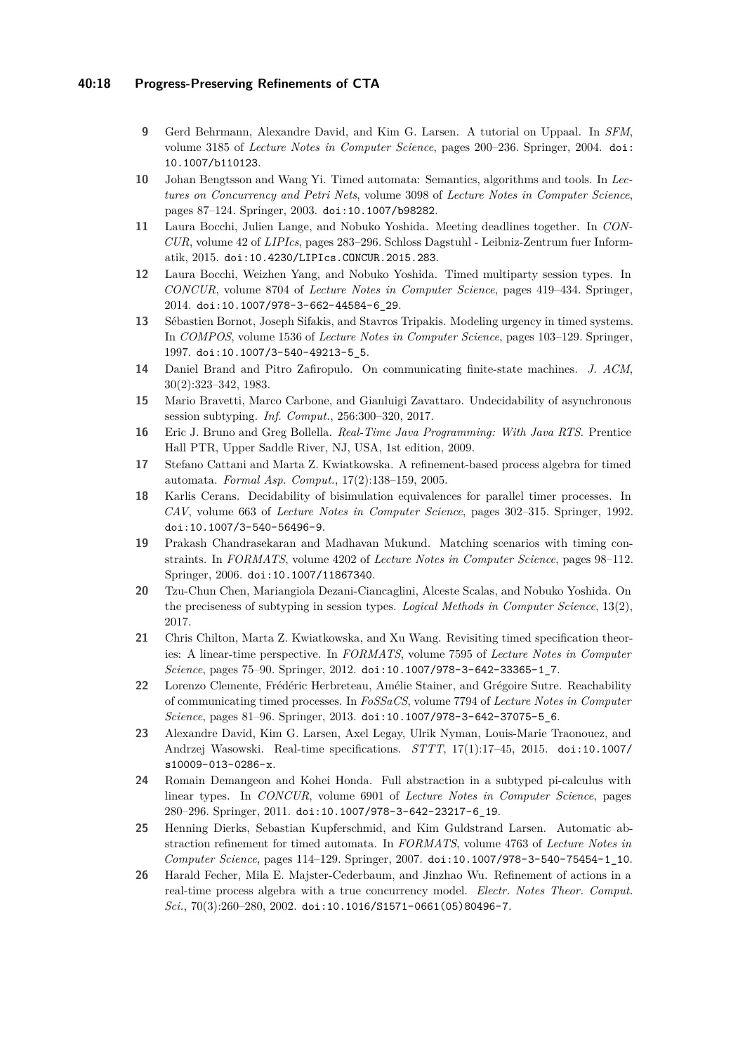### **40:18 Progress-Preserving Refinements of CTA**

- <span id="page-17-16"></span>**9** Gerd Behrmann, Alexandre David, and Kim G. Larsen. A tutorial on Uppaal. In *SFM*, volume 3185 of *Lecture Notes in Computer Science*, pages 200–236. Springer, 2004. [doi:](http://dx.doi.org/10.1007/b110123) [10.1007/b110123](http://dx.doi.org/10.1007/b110123).
- <span id="page-17-14"></span>**10** Johan Bengtsson and Wang Yi. Timed automata: Semantics, algorithms and tools. In *Lectures on Concurrency and Petri Nets*, volume 3098 of *Lecture Notes in Computer Science*, pages 87–124. Springer, 2003. [doi:10.1007/b98282](http://dx.doi.org/10.1007/b98282).
- <span id="page-17-2"></span>**11** Laura Bocchi, Julien Lange, and Nobuko Yoshida. Meeting deadlines together. In *CON-CUR*, volume 42 of *LIPIcs*, pages 283–296. Schloss Dagstuhl - Leibniz-Zentrum fuer Informatik, 2015. [doi:10.4230/LIPIcs.CONCUR.2015.283](http://dx.doi.org/10.4230/LIPIcs.CONCUR.2015.283).
- <span id="page-17-10"></span>**12** Laura Bocchi, Weizhen Yang, and Nobuko Yoshida. Timed multiparty session types. In *CONCUR*, volume 8704 of *Lecture Notes in Computer Science*, pages 419–434. Springer, 2014. [doi:10.1007/978-3-662-44584-6\\_29](http://dx.doi.org/10.1007/978-3-662-44584-6_29).
- <span id="page-17-17"></span>**13** Sébastien Bornot, Joseph Sifakis, and Stavros Tripakis. Modeling urgency in timed systems. In *COMPOS*, volume 1536 of *Lecture Notes in Computer Science*, pages 103–129. Springer, 1997. [doi:10.1007/3-540-49213-5\\_5](http://dx.doi.org/10.1007/3-540-49213-5_5).
- <span id="page-17-1"></span>**14** Daniel Brand and Pitro Zafiropulo. On communicating finite-state machines. *J. ACM*, 30(2):323–342, 1983.
- <span id="page-17-11"></span>**15** Mario Bravetti, Marco Carbone, and Gianluigi Zavattaro. Undecidability of asynchronous session subtyping. *Inf. Comput.*, 256:300–320, 2017.
- <span id="page-17-13"></span>**16** Eric J. Bruno and Greg Bollella. *Real-Time Java Programming: With Java RTS*. Prentice Hall PTR, Upper Saddle River, NJ, USA, 1st edition, 2009.
- <span id="page-17-6"></span>**17** Stefano Cattani and Marta Z. Kwiatkowska. A refinement-based process algebra for timed automata. *Formal Asp. Comput.*, 17(2):138–159, 2005.
- <span id="page-17-12"></span>**18** Karlis Cerans. Decidability of bisimulation equivalences for parallel timer processes. In *CAV*, volume 663 of *Lecture Notes in Computer Science*, pages 302–315. Springer, 1992. [doi:10.1007/3-540-56496-9](http://dx.doi.org/10.1007/3-540-56496-9).
- <span id="page-17-15"></span>**19** Prakash Chandrasekaran and Madhavan Mukund. Matching scenarios with timing constraints. In *FORMATS*, volume 4202 of *Lecture Notes in Computer Science*, pages 98–112. Springer, 2006. [doi:10.1007/11867340](http://dx.doi.org/10.1007/11867340).
- <span id="page-17-8"></span>**20** Tzu-Chun Chen, Mariangiola Dezani-Ciancaglini, Alceste Scalas, and Nobuko Yoshida. On the preciseness of subtyping in session types. *Logical Methods in Computer Science*, 13(2), 2017.
- <span id="page-17-4"></span>**21** Chris Chilton, Marta Z. Kwiatkowska, and Xu Wang. Revisiting timed specification theories: A linear-time perspective. In *FORMATS*, volume 7595 of *Lecture Notes in Computer Science*, pages 75–90. Springer, 2012. [doi:10.1007/978-3-642-33365-1\\_7](http://dx.doi.org/10.1007/978-3-642-33365-1_7).
- <span id="page-17-0"></span>**22** Lorenzo Clemente, Frédéric Herbreteau, Amélie Stainer, and Grégoire Sutre. Reachability of communicating timed processes. In *FoSSaCS*, volume 7794 of *Lecture Notes in Computer Science*, pages 81–96. Springer, 2013. [doi:10.1007/978-3-642-37075-5\\_6](http://dx.doi.org/10.1007/978-3-642-37075-5_6).
- <span id="page-17-5"></span>**23** Alexandre David, Kim G. Larsen, Axel Legay, Ulrik Nyman, Louis-Marie Traonouez, and Andrzej Wasowski. Real-time specifications. *STTT*, 17(1):17–45, 2015. [doi:10.1007/](http://dx.doi.org/10.1007/s10009-013-0286-x) [s10009-013-0286-x](http://dx.doi.org/10.1007/s10009-013-0286-x).
- <span id="page-17-9"></span>**24** Romain Demangeon and Kohei Honda. Full abstraction in a subtyped pi-calculus with linear types. In *CONCUR*, volume 6901 of *Lecture Notes in Computer Science*, pages 280–296. Springer, 2011. [doi:10.1007/978-3-642-23217-6\\_19](http://dx.doi.org/10.1007/978-3-642-23217-6_19).
- <span id="page-17-3"></span>**25** Henning Dierks, Sebastian Kupferschmid, and Kim Guldstrand Larsen. Automatic abstraction refinement for timed automata. In *FORMATS*, volume 4763 of *Lecture Notes in Computer Science*, pages 114–129. Springer, 2007. [doi:10.1007/978-3-540-75454-1\\_10](http://dx.doi.org/10.1007/978-3-540-75454-1_10).
- <span id="page-17-7"></span>**26** Harald Fecher, Mila E. Majster-Cederbaum, and Jinzhao Wu. Refinement of actions in a real-time process algebra with a true concurrency model. *Electr. Notes Theor. Comput. Sci.*, 70(3):260–280, 2002. [doi:10.1016/S1571-0661\(05\)80496-7](http://dx.doi.org/10.1016/S1571-0661(05)80496-7).